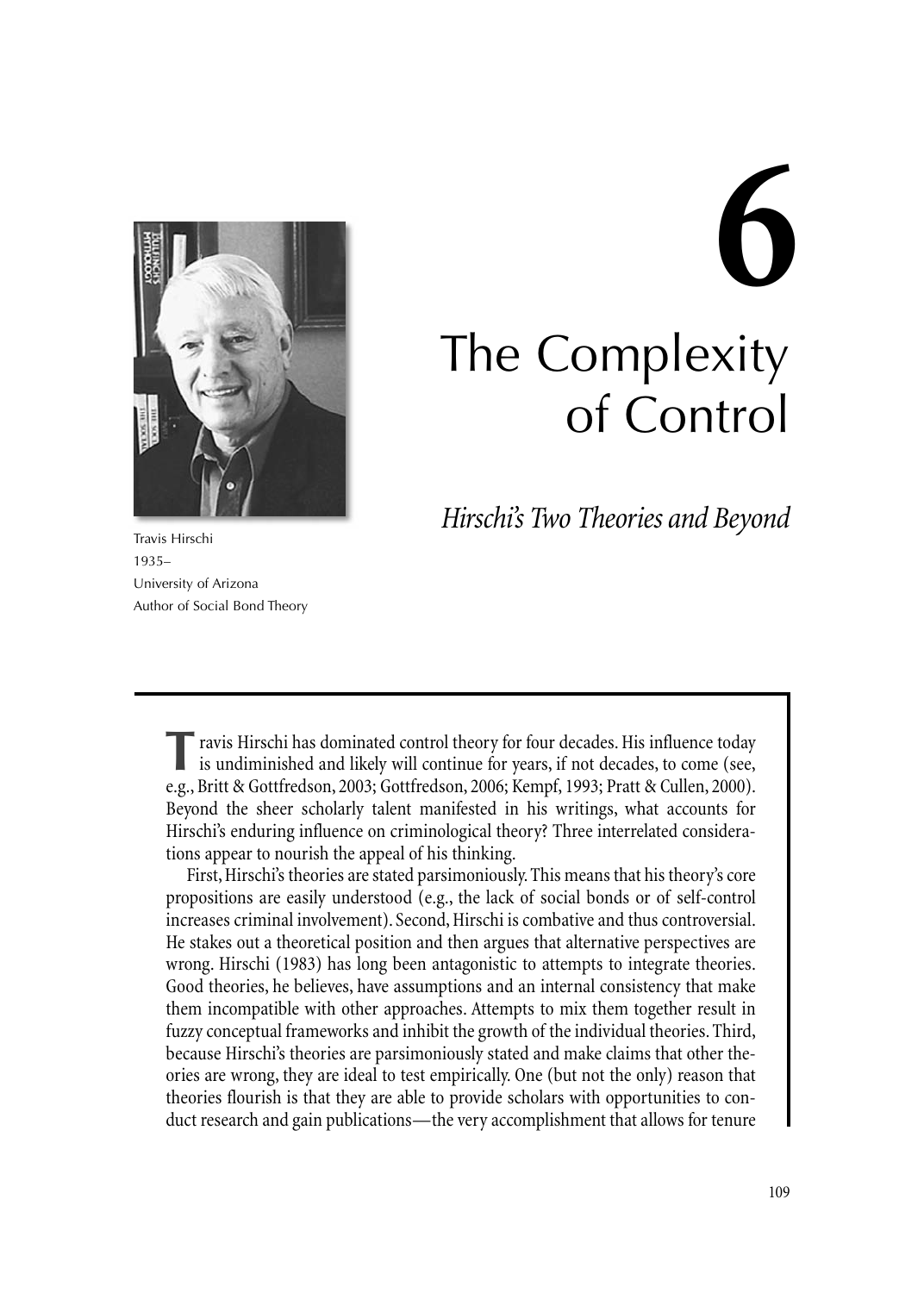

# **6** The Complexity of Control

*Hirschi's Two Theories and Beyond*<br>Travis Hirschi

1935– University of Arizona Author of Social Bond Theory

> **T**ravis Hirschi has dominated control theory for four decades. His influence today is undiminished and likely will continue for years, if not decades, to come (see, e.g., Britt & Gottfredson, 2003; Gottfredson, 2006; Kempf, 1993; Pratt & Cullen, 2000). Beyond the sheer scholarly talent manifested in his writings, what accounts for Hirschi's enduring influence on criminological theory? Three interrelated considerations appear to nourish the appeal of his thinking.

> First, Hirschi's theories are stated parsimoniously. This means that his theory's core propositions are easily understood (e.g., the lack of social bonds or of self-control increases criminal involvement). Second, Hirschi is combative and thus controversial. He stakes out a theoretical position and then argues that alternative perspectives are wrong. Hirschi (1983) has long been antagonistic to attempts to integrate theories. Good theories, he believes, have assumptions and an internal consistency that make them incompatible with other approaches. Attempts to mix them together result in fuzzy conceptual frameworks and inhibit the growth of the individual theories. Third, because Hirschi's theories are parsimoniously stated and make claims that other theories are wrong, they are ideal to test empirically. One (but not the only) reason that theories flourish is that they are able to provide scholars with opportunities to conduct research and gain publications—the very accomplishment that allows for tenure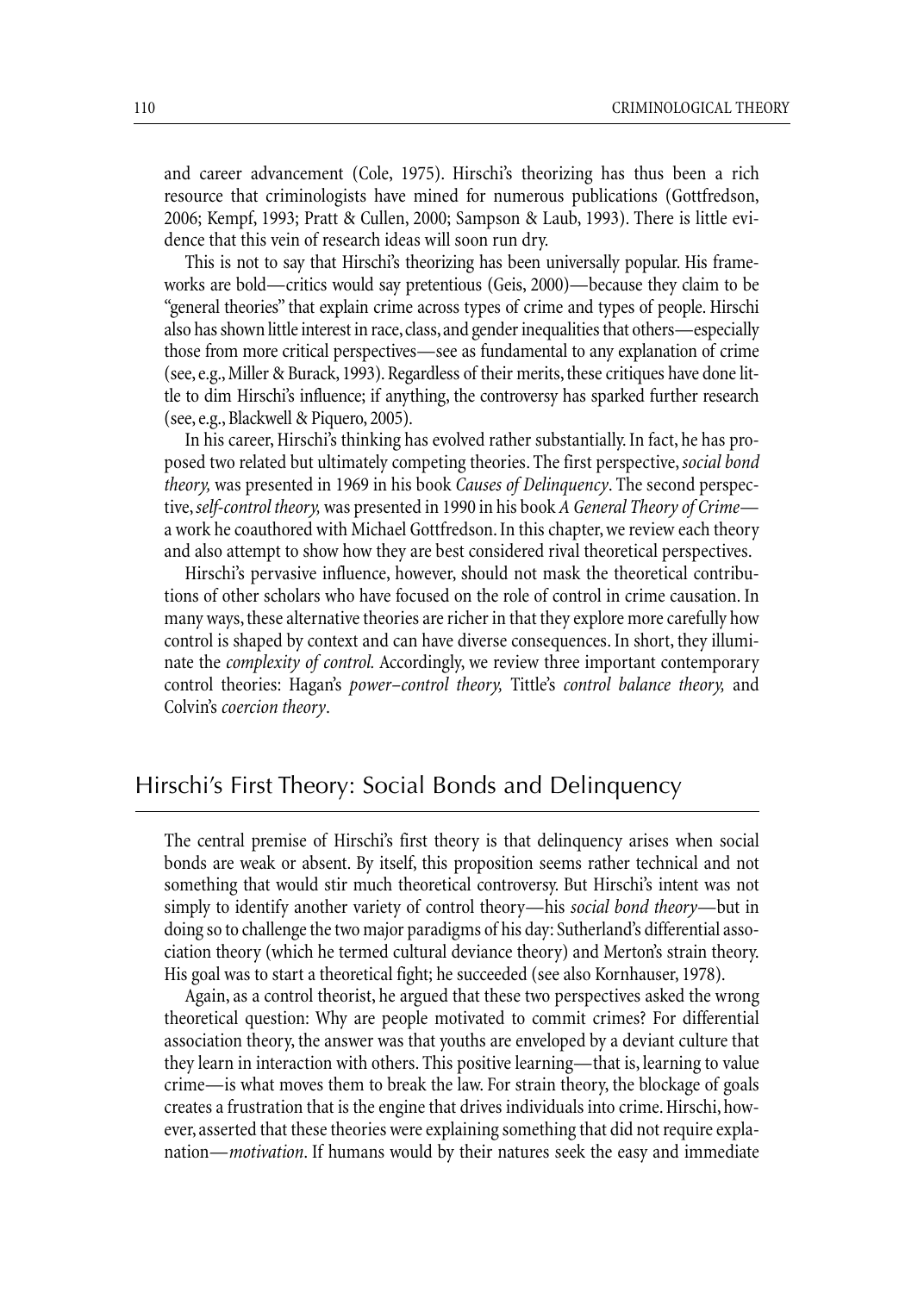and career advancement (Cole, 1975). Hirschi's theorizing has thus been a rich resource that criminologists have mined for numerous publications (Gottfredson, 2006; Kempf, 1993; Pratt & Cullen, 2000; Sampson & Laub, 1993). There is little evidence that this vein of research ideas will soon run dry.

This is not to say that Hirschi's theorizing has been universally popular. His frameworks are bold—critics would say pretentious (Geis, 2000)—because they claim to be "general theories" that explain crime across types of crime and types of people. Hirschi also has shown little interest in race, class, and gender inequalities that others—especially those from more critical perspectives—see as fundamental to any explanation of crime (see, e.g., Miller & Burack, 1993). Regardless of their merits, these critiques have done little to dim Hirschi's influence; if anything, the controversy has sparked further research (see, e.g., Blackwell & Piquero, 2005).

In his career, Hirschi's thinking has evolved rather substantially. In fact, he has proposed two related but ultimately competing theories. The first perspective,*social bond theory,* was presented in 1969 in his book *Causes of Delinquency*. The second perspective,*self-control theory,* was presented in 1990 in his book *A General Theory of Crime* a work he coauthored with Michael Gottfredson. In this chapter, we review each theory and also attempt to show how they are best considered rival theoretical perspectives.

Hirschi's pervasive influence, however, should not mask the theoretical contributions of other scholars who have focused on the role of control in crime causation. In many ways, these alternative theories are richer in that they explore more carefully how control is shaped by context and can have diverse consequences. In short, they illuminate the *complexity of control.* Accordingly, we review three important contemporary control theories: Hagan's *power–control theory,* Tittle's *control balance theory,* and Colvin's *coercion theory*.

# Hirschi's First Theory: Social Bonds and Delinquency

The central premise of Hirschi's first theory is that delinquency arises when social bonds are weak or absent. By itself, this proposition seems rather technical and not something that would stir much theoretical controversy. But Hirschi's intent was not simply to identify another variety of control theory—his *social bond theory*—but in doing so to challenge the two major paradigms of his day: Sutherland's differential association theory (which he termed cultural deviance theory) and Merton's strain theory. His goal was to start a theoretical fight; he succeeded (see also Kornhauser, 1978).

Again, as a control theorist, he argued that these two perspectives asked the wrong theoretical question: Why are people motivated to commit crimes? For differential association theory, the answer was that youths are enveloped by a deviant culture that they learn in interaction with others. This positive learning—that is, learning to value crime—is what moves them to break the law. For strain theory, the blockage of goals creates a frustration that is the engine that drives individuals into crime. Hirschi, however, asserted that these theories were explaining something that did not require explanation—*motivation*. If humans would by their natures seek the easy and immediate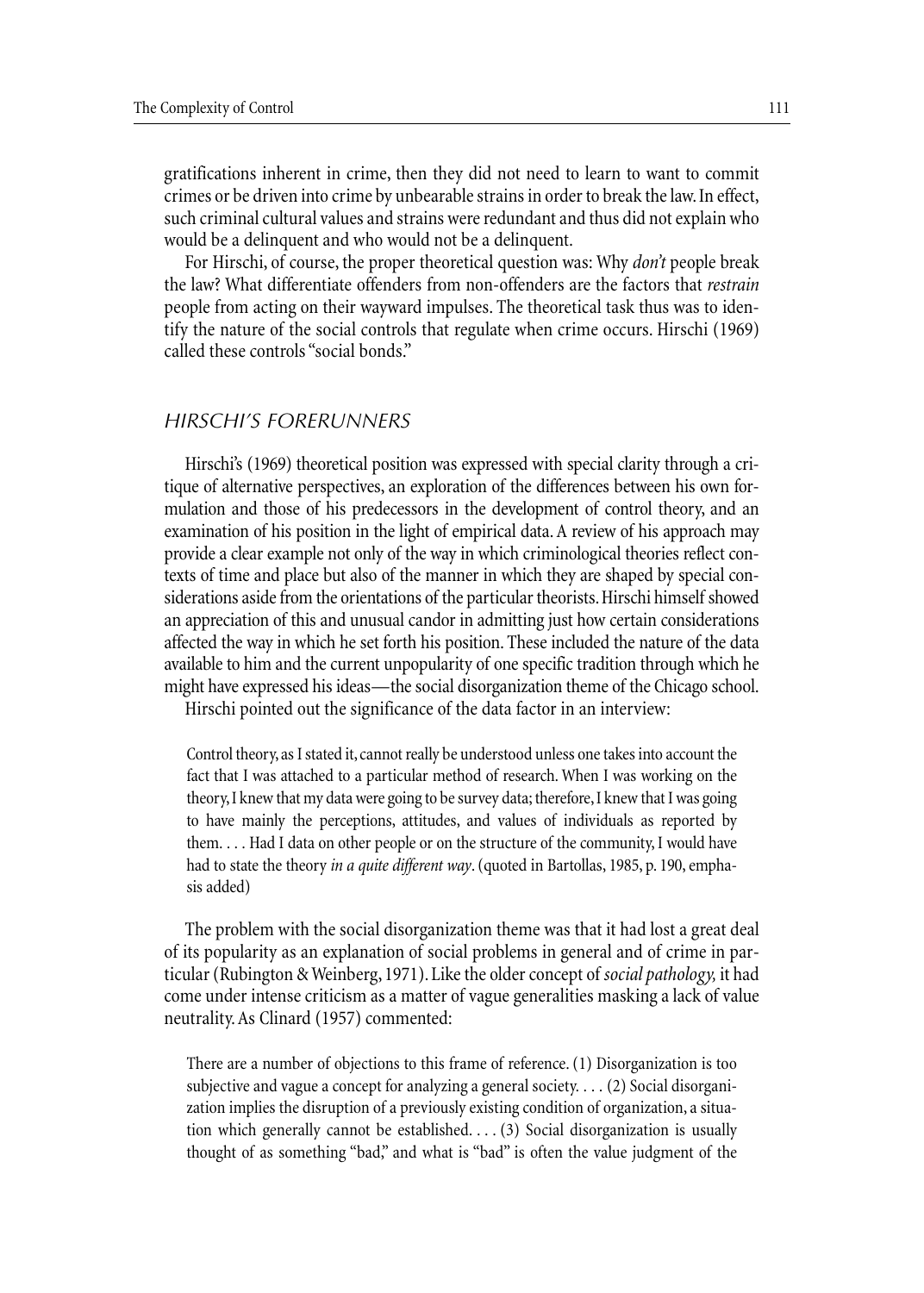gratifications inherent in crime, then they did not need to learn to want to commit crimes or be driven into crime by unbearable strains in order to break the law. In effect, such criminal cultural values and strains were redundant and thus did not explain who would be a delinquent and who would not be a delinquent.

For Hirschi, of course, the proper theoretical question was: Why *don't* people break the law? What differentiate offenders from non-offenders are the factors that *restrain* people from acting on their wayward impulses. The theoretical task thus was to identify the nature of the social controls that regulate when crime occurs. Hirschi (1969) called these controls "social bonds."

## *HIRSCHI'S FORERUNNERS*

Hirschi's (1969) theoretical position was expressed with special clarity through a critique of alternative perspectives, an exploration of the differences between his own formulation and those of his predecessors in the development of control theory, and an examination of his position in the light of empirical data. A review of his approach may provide a clear example not only of the way in which criminological theories reflect contexts of time and place but also of the manner in which they are shaped by special considerations aside from the orientations of the particular theorists. Hirschi himself showed an appreciation of this and unusual candor in admitting just how certain considerations affected the way in which he set forth his position. These included the nature of the data available to him and the current unpopularity of one specific tradition through which he might have expressed his ideas—the social disorganization theme of the Chicago school.

Hirschi pointed out the significance of the data factor in an interview:

Control theory, as I stated it, cannot really be understood unless one takes into account the fact that I was attached to a particular method of research. When I was working on the theory,I knew that my data were going to be survey data; therefore, I knew that I was going to have mainly the perceptions, attitudes, and values of individuals as reported by them. ... Had I data on other people or on the structure of the community, I would have had to state the theory *in a quite different way*. (quoted in Bartollas, 1985, p. 190, emphasis added)

The problem with the social disorganization theme was that it had lost a great deal of its popularity as an explanation of social problems in general and of crime in particular (Rubington & Weinberg, 1971). Like the older concept of *social pathology,* it had come under intense criticism as a matter of vague generalities masking a lack of value neutrality. As Clinard (1957) commented:

There are a number of objections to this frame of reference. (1) Disorganization is too subjective and vague a concept for analyzing a general society. ... (2) Social disorganization implies the disruption of a previously existing condition of organization, a situation which generally cannot be established. ... (3) Social disorganization is usually thought of as something "bad," and what is "bad" is often the value judgment of the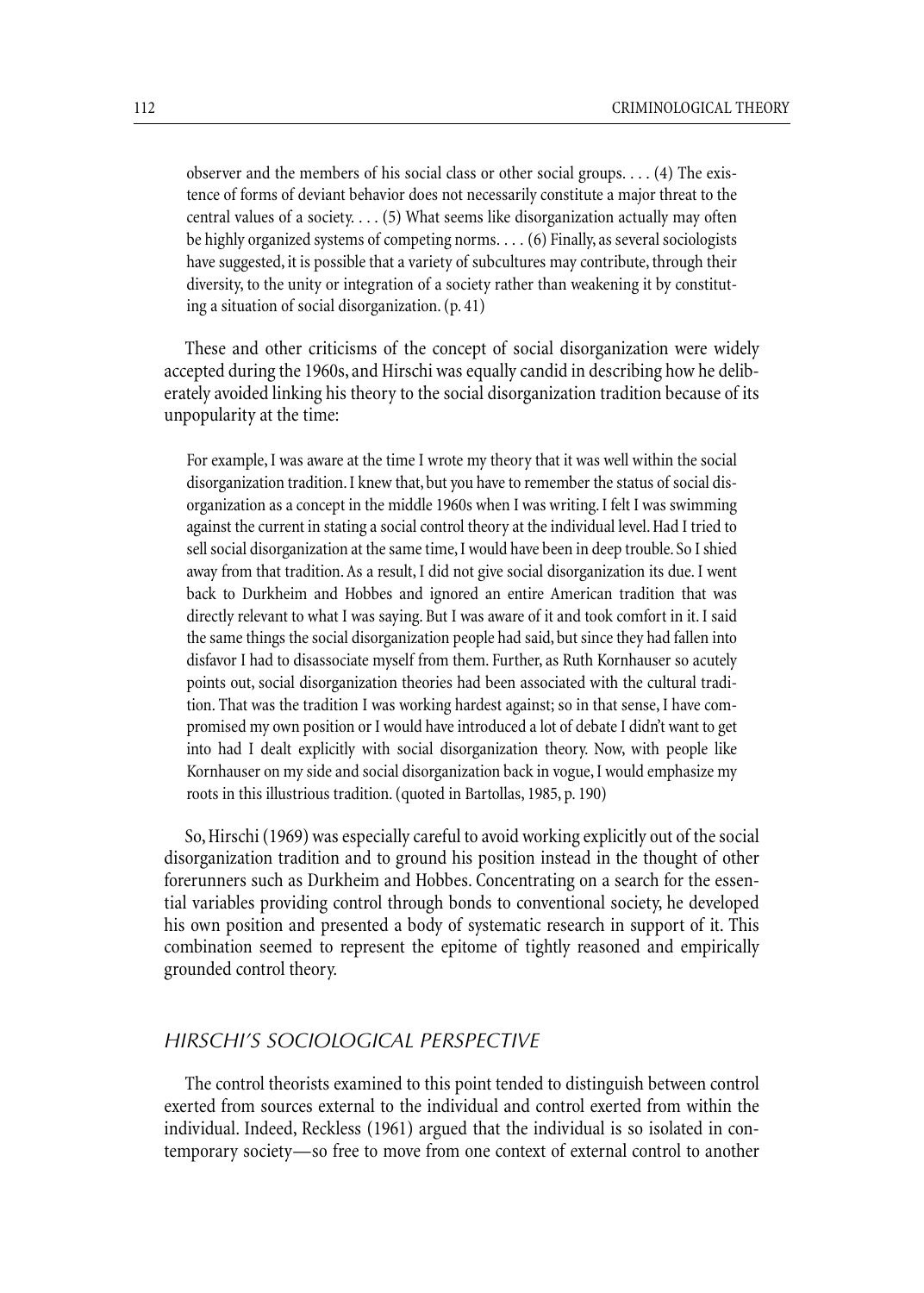observer and the members of his social class or other social groups. ... (4) The existence of forms of deviant behavior does not necessarily constitute a major threat to the central values of a society. ... (5) What seems like disorganization actually may often be highly organized systems of competing norms. ... (6) Finally, as several sociologists have suggested, it is possible that a variety of subcultures may contribute, through their diversity, to the unity or integration of a society rather than weakening it by constituting a situation of social disorganization. (p. 41)

These and other criticisms of the concept of social disorganization were widely accepted during the 1960s, and Hirschi was equally candid in describing how he deliberately avoided linking his theory to the social disorganization tradition because of its unpopularity at the time:

For example, I was aware at the time I wrote my theory that it was well within the social disorganization tradition. I knew that, but you have to remember the status of social disorganization as a concept in the middle 1960s when I was writing. I felt I was swimming against the current in stating a social control theory at the individual level. Had I tried to sell social disorganization at the same time, I would have been in deep trouble. So I shied away from that tradition. As a result, I did not give social disorganization its due. I went back to Durkheim and Hobbes and ignored an entire American tradition that was directly relevant to what I was saying. But I was aware of it and took comfort in it. I said the same things the social disorganization people had said, but since they had fallen into disfavor I had to disassociate myself from them. Further, as Ruth Kornhauser so acutely points out, social disorganization theories had been associated with the cultural tradition. That was the tradition I was working hardest against; so in that sense, I have compromised my own position or I would have introduced a lot of debate I didn't want to get into had I dealt explicitly with social disorganization theory. Now, with people like Kornhauser on my side and social disorganization back in vogue, I would emphasize my roots in this illustrious tradition. (quoted in Bartollas, 1985, p. 190)

So, Hirschi (1969) was especially careful to avoid working explicitly out of the social disorganization tradition and to ground his position instead in the thought of other forerunners such as Durkheim and Hobbes. Concentrating on a search for the essential variables providing control through bonds to conventional society, he developed his own position and presented a body of systematic research in support of it. This combination seemed to represent the epitome of tightly reasoned and empirically grounded control theory.

## *HIRSCHI'S SOCIOLOGICAL PERSPECTIVE*

The control theorists examined to this point tended to distinguish between control exerted from sources external to the individual and control exerted from within the individual. Indeed, Reckless (1961) argued that the individual is so isolated in contemporary society—so free to move from one context of external control to another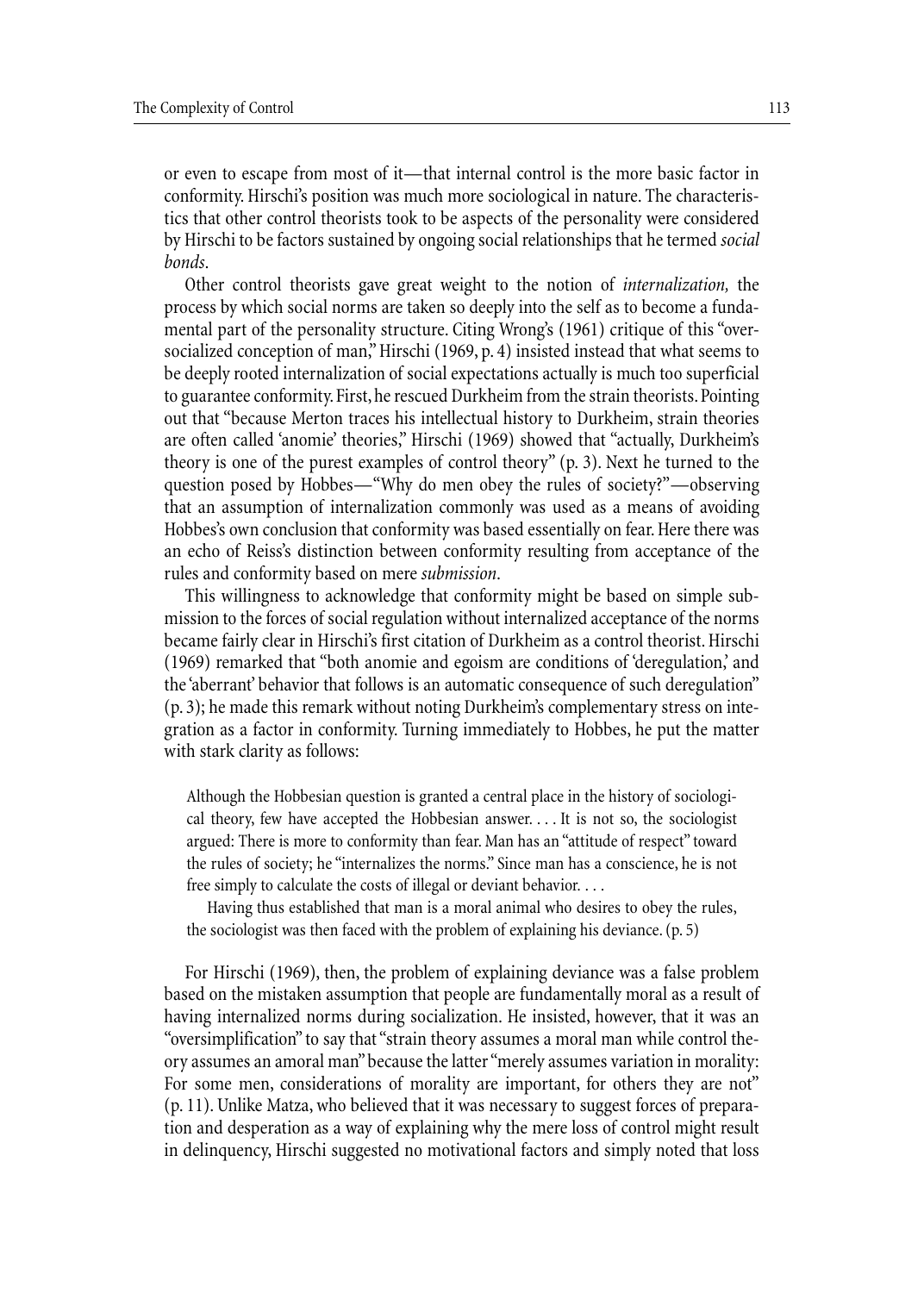or even to escape from most of it—that internal control is the more basic factor in conformity. Hirschi's position was much more sociological in nature. The characteristics that other control theorists took to be aspects of the personality were considered by Hirschi to be factors sustained by ongoing social relationships that he termed *social bonds*.

Other control theorists gave great weight to the notion of *internalization,* the process by which social norms are taken so deeply into the self as to become a fundamental part of the personality structure. Citing Wrong's (1961) critique of this "oversocialized conception of man," Hirschi (1969, p. 4) insisted instead that what seems to be deeply rooted internalization of social expectations actually is much too superficial to guarantee conformity. First, he rescued Durkheim from the strain theorists. Pointing out that "because Merton traces his intellectual history to Durkheim, strain theories are often called 'anomie' theories," Hirschi (1969) showed that "actually, Durkheim's theory is one of the purest examples of control theory" (p. 3). Next he turned to the question posed by Hobbes—"Why do men obey the rules of society?"—observing that an assumption of internalization commonly was used as a means of avoiding Hobbes's own conclusion that conformity was based essentially on fear. Here there was an echo of Reiss's distinction between conformity resulting from acceptance of the rules and conformity based on mere *submission*.

This willingness to acknowledge that conformity might be based on simple submission to the forces of social regulation without internalized acceptance of the norms became fairly clear in Hirschi's first citation of Durkheim as a control theorist. Hirschi (1969) remarked that "both anomie and egoism are conditions of 'deregulation,' and the 'aberrant' behavior that follows is an automatic consequence of such deregulation" (p. 3); he made this remark without noting Durkheim's complementary stress on integration as a factor in conformity. Turning immediately to Hobbes, he put the matter with stark clarity as follows:

Although the Hobbesian question is granted a central place in the history of sociological theory, few have accepted the Hobbesian answer. ... It is not so, the sociologist argued: There is more to conformity than fear. Man has an "attitude of respect" toward the rules of society; he "internalizes the norms." Since man has a conscience, he is not free simply to calculate the costs of illegal or deviant behavior. ...

Having thus established that man is a moral animal who desires to obey the rules, the sociologist was then faced with the problem of explaining his deviance. (p. 5)

For Hirschi (1969), then, the problem of explaining deviance was a false problem based on the mistaken assumption that people are fundamentally moral as a result of having internalized norms during socialization. He insisted, however, that it was an "oversimplification" to say that "strain theory assumes a moral man while control theory assumes an amoral man" because the latter "merely assumes variation in morality: For some men, considerations of morality are important, for others they are not" (p. 11). Unlike Matza, who believed that it was necessary to suggest forces of preparation and desperation as a way of explaining why the mere loss of control might result in delinquency, Hirschi suggested no motivational factors and simply noted that loss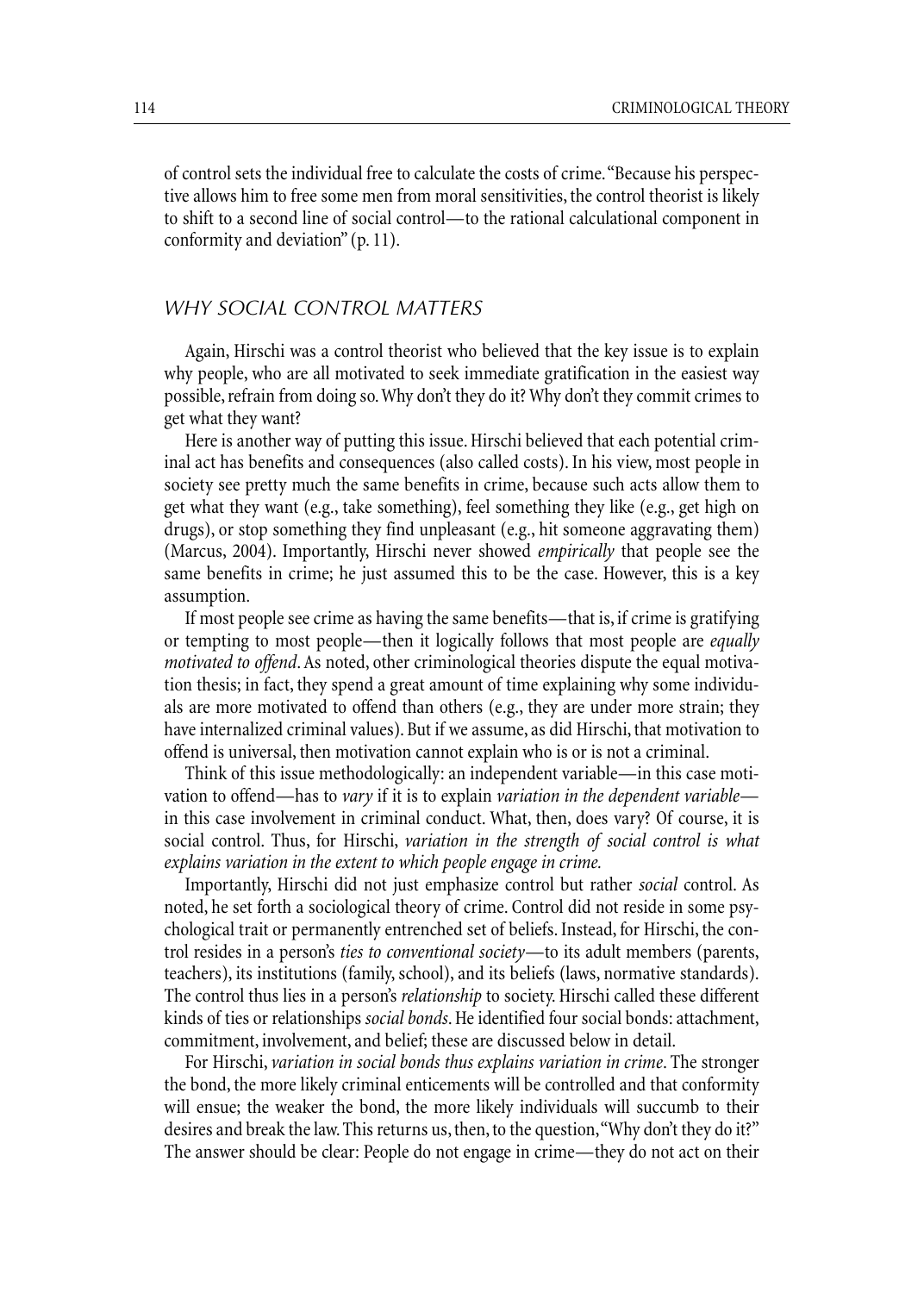of control sets the individual free to calculate the costs of crime."Because his perspective allows him to free some men from moral sensitivities, the control theorist is likely to shift to a second line of social control—to the rational calculational component in conformity and deviation" (p. 11).

## *WHY SOCIAL CONTROL MATTERS*

Again, Hirschi was a control theorist who believed that the key issue is to explain why people, who are all motivated to seek immediate gratification in the easiest way possible, refrain from doing so. Why don't they do it? Why don't they commit crimes to get what they want?

Here is another way of putting this issue. Hirschi believed that each potential criminal act has benefits and consequences (also called costs). In his view, most people in society see pretty much the same benefits in crime, because such acts allow them to get what they want (e.g., take something), feel something they like (e.g., get high on drugs), or stop something they find unpleasant (e.g., hit someone aggravating them) (Marcus, 2004). Importantly, Hirschi never showed *empirically* that people see the same benefits in crime; he just assumed this to be the case. However, this is a key assumption.

If most people see crime as having the same benefits—that is, if crime is gratifying or tempting to most people—then it logically follows that most people are *equally motivated to offend*. As noted, other criminological theories dispute the equal motivation thesis; in fact, they spend a great amount of time explaining why some individuals are more motivated to offend than others (e.g., they are under more strain; they have internalized criminal values). But if we assume, as did Hirschi, that motivation to offend is universal, then motivation cannot explain who is or is not a criminal.

Think of this issue methodologically: an independent variable—in this case motivation to offend—has to *vary* if it is to explain *variation in the dependent variable* in this case involvement in criminal conduct. What, then, does vary? Of course, it is social control. Thus, for Hirschi, *variation in the strength of social control is what explains variation in the extent to which people engage in crime.*

Importantly, Hirschi did not just emphasize control but rather *social* control. As noted, he set forth a sociological theory of crime. Control did not reside in some psychological trait or permanently entrenched set of beliefs. Instead, for Hirschi, the control resides in a person's *ties to conventional society*—to its adult members (parents, teachers), its institutions (family, school), and its beliefs (laws, normative standards). The control thus lies in a person's *relationship* to society. Hirschi called these different kinds of ties or relationships *social bonds*. He identified four social bonds: attachment, commitment, involvement, and belief; these are discussed below in detail.

For Hirschi, *variation in social bonds thus explains variation in crime*. The stronger the bond, the more likely criminal enticements will be controlled and that conformity will ensue; the weaker the bond, the more likely individuals will succumb to their desires and break the law. This returns us, then, to the question,"Why don't they do it?" The answer should be clear: People do not engage in crime—they do not act on their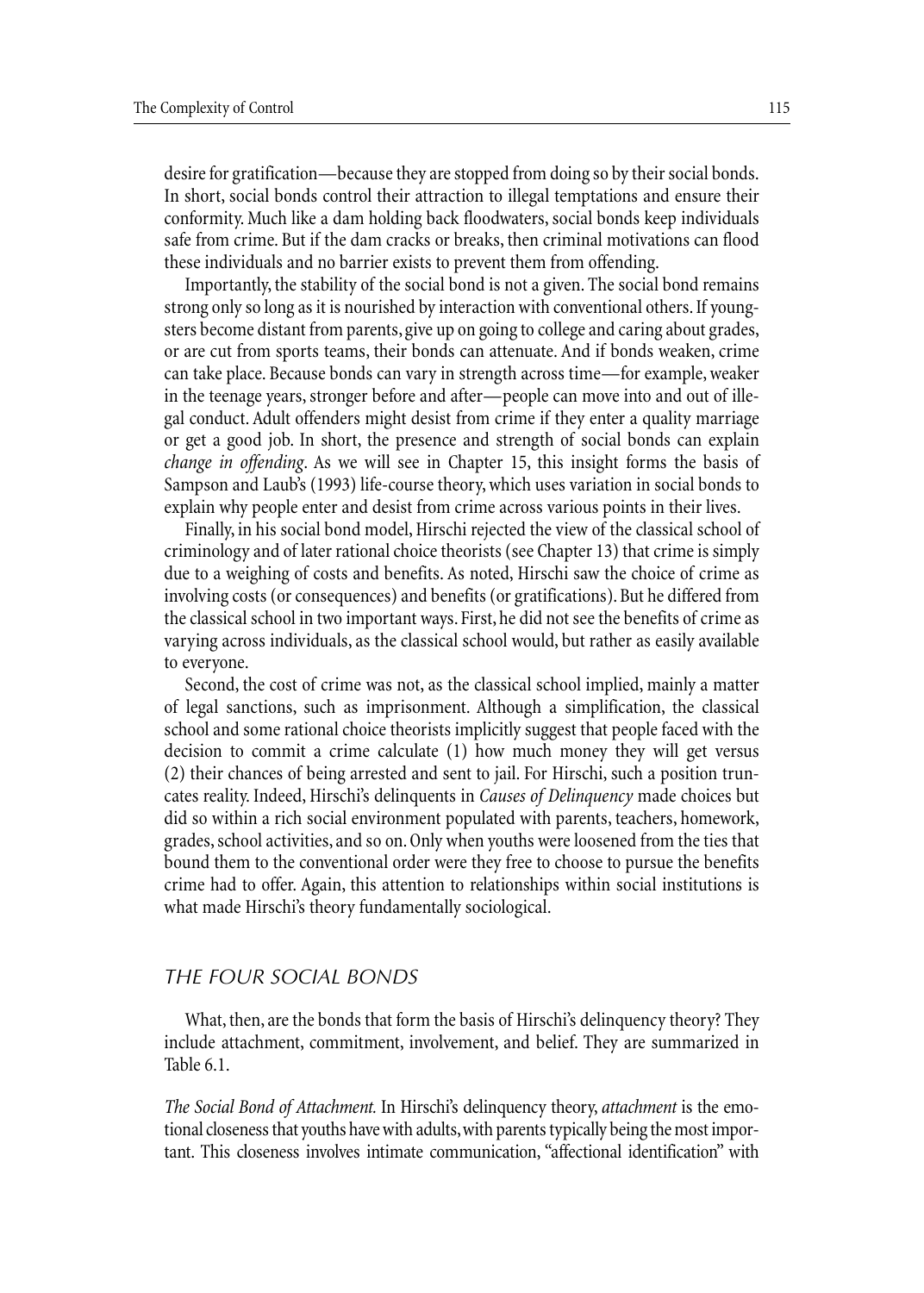desire for gratification—because they are stopped from doing so by their social bonds. In short, social bonds control their attraction to illegal temptations and ensure their conformity. Much like a dam holding back floodwaters, social bonds keep individuals safe from crime. But if the dam cracks or breaks, then criminal motivations can flood these individuals and no barrier exists to prevent them from offending.

Importantly, the stability of the social bond is not a given. The social bond remains strong only so long as it is nourished by interaction with conventional others. If youngsters become distant from parents, give up on going to college and caring about grades, or are cut from sports teams, their bonds can attenuate. And if bonds weaken, crime can take place. Because bonds can vary in strength across time—for example, weaker in the teenage years, stronger before and after—people can move into and out of illegal conduct. Adult offenders might desist from crime if they enter a quality marriage or get a good job. In short, the presence and strength of social bonds can explain *change in offending*. As we will see in Chapter 15, this insight forms the basis of Sampson and Laub's (1993) life-course theory, which uses variation in social bonds to explain why people enter and desist from crime across various points in their lives.

Finally, in his social bond model, Hirschi rejected the view of the classical school of criminology and of later rational choice theorists (see Chapter 13) that crime is simply due to a weighing of costs and benefits. As noted, Hirschi saw the choice of crime as involving costs (or consequences) and benefits (or gratifications). But he differed from the classical school in two important ways. First, he did not see the benefits of crime as varying across individuals, as the classical school would, but rather as easily available to everyone.

Second, the cost of crime was not, as the classical school implied, mainly a matter of legal sanctions, such as imprisonment. Although a simplification, the classical school and some rational choice theorists implicitly suggest that people faced with the decision to commit a crime calculate (1) how much money they will get versus (2) their chances of being arrested and sent to jail. For Hirschi, such a position truncates reality. Indeed, Hirschi's delinquents in *Causes of Delinquency* made choices but did so within a rich social environment populated with parents, teachers, homework, grades, school activities, and so on. Only when youths were loosened from the ties that bound them to the conventional order were they free to choose to pursue the benefits crime had to offer. Again, this attention to relationships within social institutions is what made Hirschi's theory fundamentally sociological.

#### *THE FOUR SOCIAL BONDS*

What, then, are the bonds that form the basis of Hirschi's delinquency theory? They include attachment, commitment, involvement, and belief. They are summarized in Table 6.1.

*The Social Bond of Attachment.* In Hirschi's delinquency theory, *attachment* is the emotional closeness that youths have with adults,with parents typically being the most important. This closeness involves intimate communication, "affectional identification" with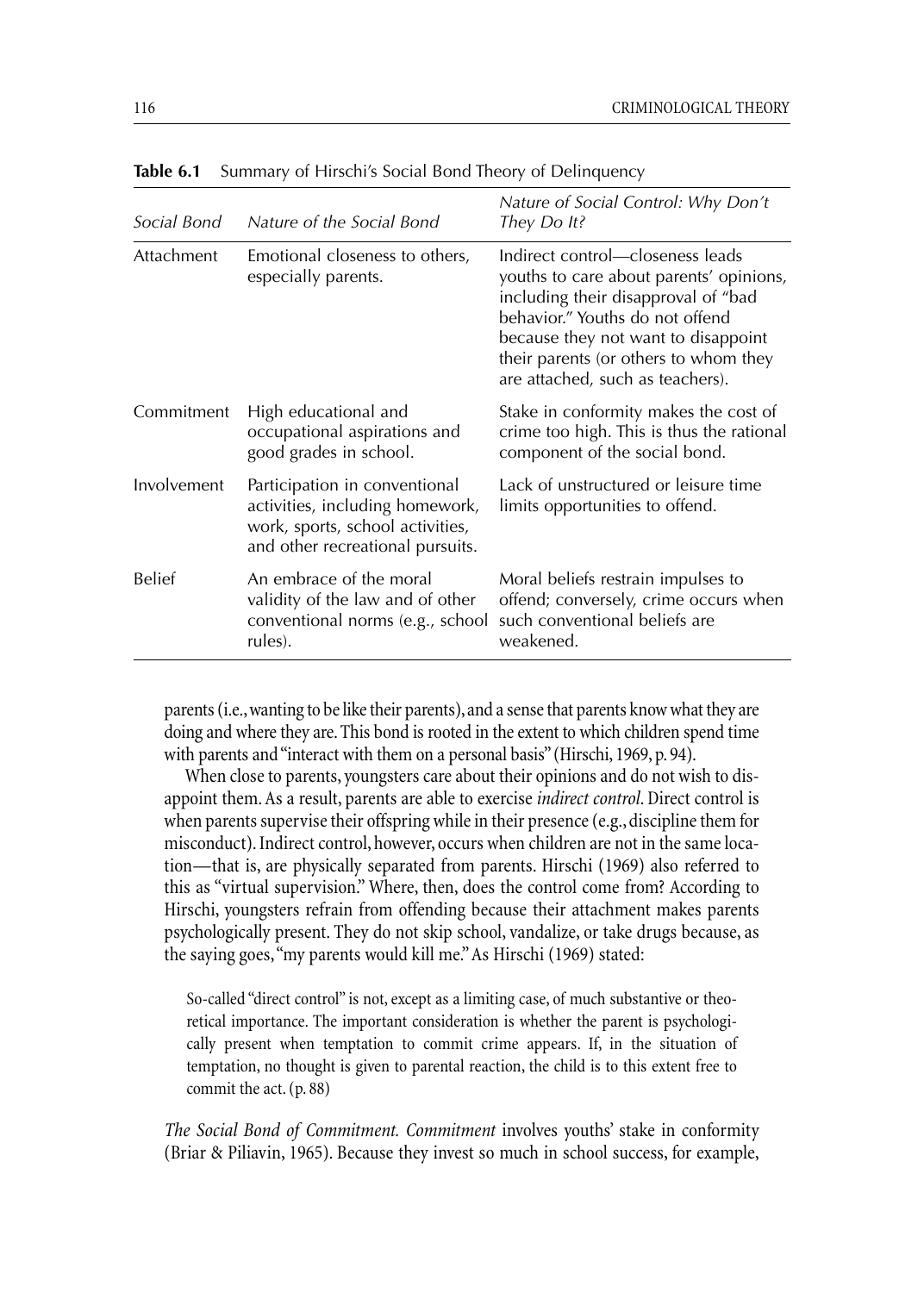| Social Bond   | Nature of the Social Bond                                                                                                                | Nature of Social Control: Why Don't<br>They Do It?                                                                                                                                                                                                                        |
|---------------|------------------------------------------------------------------------------------------------------------------------------------------|---------------------------------------------------------------------------------------------------------------------------------------------------------------------------------------------------------------------------------------------------------------------------|
| Attachment    | Emotional closeness to others,<br>especially parents.                                                                                    | Indirect control—closeness leads<br>youths to care about parents' opinions,<br>including their disapproval of "bad<br>behavior." Youths do not offend<br>because they not want to disappoint<br>their parents (or others to whom they<br>are attached, such as teachers). |
| Commitment    | High educational and<br>occupational aspirations and<br>good grades in school.                                                           | Stake in conformity makes the cost of<br>crime too high. This is thus the rational<br>component of the social bond.                                                                                                                                                       |
| Involvement   | Participation in conventional<br>activities, including homework,<br>work, sports, school activities,<br>and other recreational pursuits. | Lack of unstructured or leisure time<br>limits opportunities to offend.                                                                                                                                                                                                   |
| <b>Belief</b> | An embrace of the moral<br>validity of the law and of other<br>conventional norms (e.g., school<br>rules).                               | Moral beliefs restrain impulses to<br>offend; conversely, crime occurs when<br>such conventional beliefs are<br>weakened.                                                                                                                                                 |

**Table 6.1** Summary of Hirschi's Social Bond Theory of Delinquency

parents (i.e.,wanting to be like their parents),and a sense that parents know what they are doing and where they are. This bond is rooted in the extent to which children spend time with parents and "interact with them on a personal basis" (Hirschi, 1969, p. 94).

When close to parents, youngsters care about their opinions and do not wish to disappoint them. As a result, parents are able to exercise *indirect control*. Direct control is when parents supervise their offspring while in their presence (e.g., discipline them for misconduct). Indirect control, however, occurs when children are not in the same location—that is, are physically separated from parents. Hirschi (1969) also referred to this as "virtual supervision." Where, then, does the control come from? According to Hirschi, youngsters refrain from offending because their attachment makes parents psychologically present. They do not skip school, vandalize, or take drugs because, as the saying goes,"my parents would kill me." As Hirschi (1969) stated:

So-called "direct control" is not, except as a limiting case, of much substantive or theoretical importance. The important consideration is whether the parent is psychologically present when temptation to commit crime appears. If, in the situation of temptation, no thought is given to parental reaction, the child is to this extent free to commit the act. (p. 88)

*The Social Bond of Commitment. Commitment* involves youths' stake in conformity (Briar & Piliavin, 1965). Because they invest so much in school success, for example,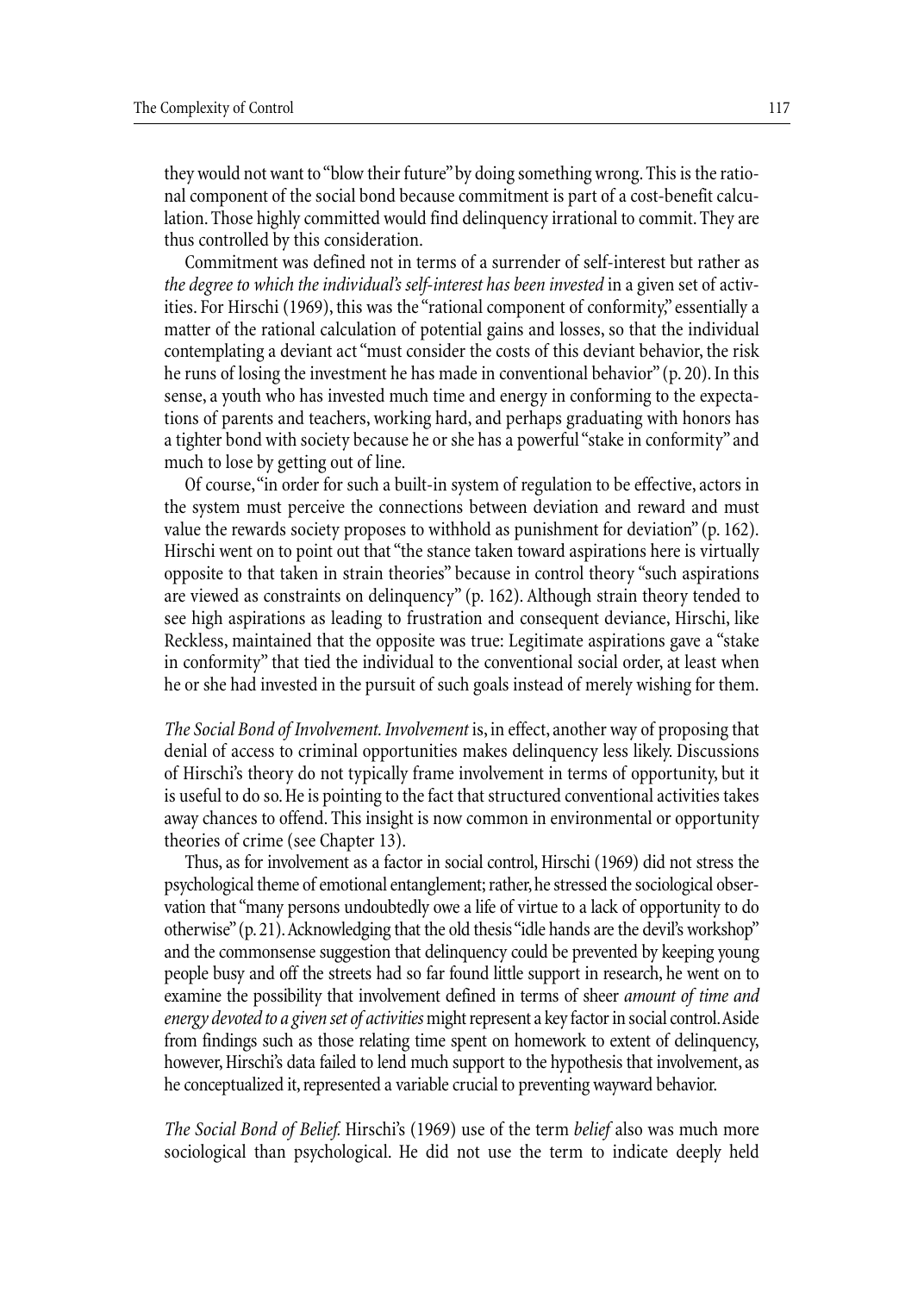they would not want to"blow their future"by doing something wrong. This is the rational component of the social bond because commitment is part of a cost-benefit calculation. Those highly committed would find delinquency irrational to commit. They are thus controlled by this consideration.

Commitment was defined not in terms of a surrender of self-interest but rather as *the degree to which the individual's self-interest has been invested* in a given set of activities. For Hirschi (1969), this was the "rational component of conformity," essentially a matter of the rational calculation of potential gains and losses, so that the individual contemplating a deviant act "must consider the costs of this deviant behavior, the risk he runs of losing the investment he has made in conventional behavior" (p. 20). In this sense, a youth who has invested much time and energy in conforming to the expectations of parents and teachers, working hard, and perhaps graduating with honors has a tighter bond with society because he or she has a powerful "stake in conformity" and much to lose by getting out of line.

Of course,"in order for such a built-in system of regulation to be effective, actors in the system must perceive the connections between deviation and reward and must value the rewards society proposes to withhold as punishment for deviation" (p. 162). Hirschi went on to point out that "the stance taken toward aspirations here is virtually opposite to that taken in strain theories" because in control theory "such aspirations are viewed as constraints on delinquency" (p. 162). Although strain theory tended to see high aspirations as leading to frustration and consequent deviance, Hirschi, like Reckless, maintained that the opposite was true: Legitimate aspirations gave a "stake in conformity" that tied the individual to the conventional social order, at least when he or she had invested in the pursuit of such goals instead of merely wishing for them.

*The Social Bond of Involvement. Involvement* is, in effect, another way of proposing that denial of access to criminal opportunities makes delinquency less likely. Discussions of Hirschi's theory do not typically frame involvement in terms of opportunity, but it is useful to do so. He is pointing to the fact that structured conventional activities takes away chances to offend. This insight is now common in environmental or opportunity theories of crime (see Chapter 13).

Thus, as for involvement as a factor in social control, Hirschi (1969) did not stress the psychological theme of emotional entanglement; rather, he stressed the sociological observation that "many persons undoubtedly owe a life of virtue to a lack of opportunity to do otherwise"(p. 21).Acknowledging that the old thesis "idle hands are the devil's workshop" and the commonsense suggestion that delinquency could be prevented by keeping young people busy and off the streets had so far found little support in research, he went on to examine the possibility that involvement defined in terms of sheer *amount of time and energy devoted to a given set of activities*might represent a key factor in social control.Aside from findings such as those relating time spent on homework to extent of delinquency, however, Hirschi's data failed to lend much support to the hypothesis that involvement, as he conceptualized it, represented a variable crucial to preventing wayward behavior.

*The Social Bond of Belief.* Hirschi's (1969) use of the term *belief* also was much more sociological than psychological. He did not use the term to indicate deeply held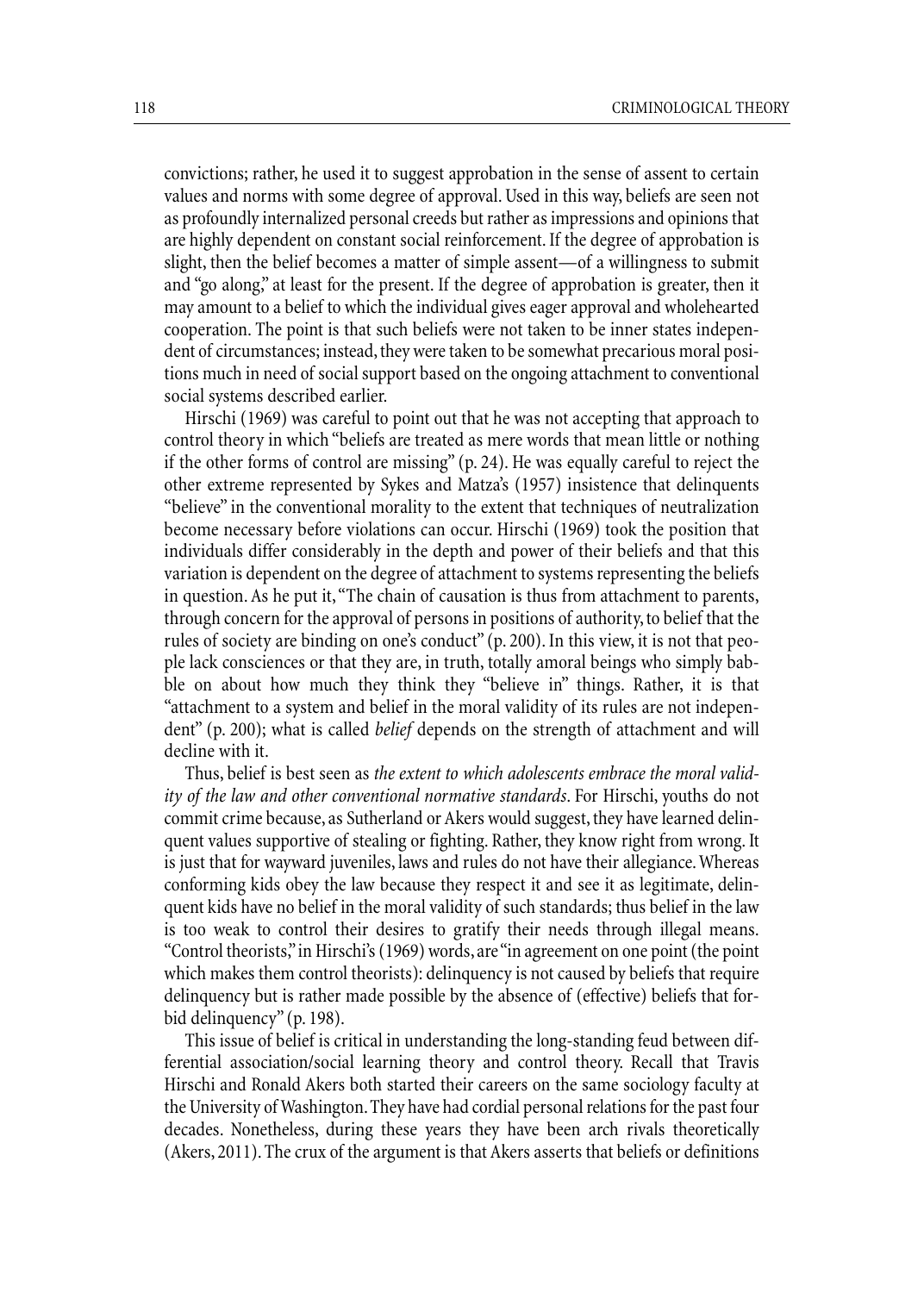convictions; rather, he used it to suggest approbation in the sense of assent to certain values and norms with some degree of approval. Used in this way, beliefs are seen not as profoundly internalized personal creeds but rather as impressions and opinions that are highly dependent on constant social reinforcement. If the degree of approbation is slight, then the belief becomes a matter of simple assent—of a willingness to submit and "go along," at least for the present. If the degree of approbation is greater, then it may amount to a belief to which the individual gives eager approval and wholehearted cooperation. The point is that such beliefs were not taken to be inner states independent of circumstances; instead, they were taken to be somewhat precarious moral positions much in need of social support based on the ongoing attachment to conventional social systems described earlier.

Hirschi (1969) was careful to point out that he was not accepting that approach to control theory in which "beliefs are treated as mere words that mean little or nothing if the other forms of control are missing" (p. 24). He was equally careful to reject the other extreme represented by Sykes and Matza's (1957) insistence that delinquents "believe" in the conventional morality to the extent that techniques of neutralization become necessary before violations can occur. Hirschi (1969) took the position that individuals differ considerably in the depth and power of their beliefs and that this variation is dependent on the degree of attachment to systems representing the beliefs in question. As he put it,"The chain of causation is thus from attachment to parents, through concern for the approval of persons in positions of authority, to belief that the rules of society are binding on one's conduct" (p. 200). In this view, it is not that people lack consciences or that they are, in truth, totally amoral beings who simply babble on about how much they think they "believe in" things. Rather, it is that "attachment to a system and belief in the moral validity of its rules are not independent" (p. 200); what is called *belief* depends on the strength of attachment and will decline with it.

Thus, belief is best seen as *the extent to which adolescents embrace the moral validity of the law and other conventional normative standards*. For Hirschi, youths do not commit crime because, as Sutherland or Akers would suggest, they have learned delinquent values supportive of stealing or fighting. Rather, they know right from wrong. It is just that for wayward juveniles, laws and rules do not have their allegiance. Whereas conforming kids obey the law because they respect it and see it as legitimate, delinquent kids have no belief in the moral validity of such standards; thus belief in the law is too weak to control their desires to gratify their needs through illegal means. "Control theorists,"in Hirschi's (1969) words, are"in agreement on one point (the point which makes them control theorists): delinquency is not caused by beliefs that require delinquency but is rather made possible by the absence of (effective) beliefs that forbid delinquency" (p. 198).

This issue of belief is critical in understanding the long-standing feud between differential association/social learning theory and control theory. Recall that Travis Hirschi and Ronald Akers both started their careers on the same sociology faculty at the University of Washington. They have had cordial personal relations for the past four decades. Nonetheless, during these years they have been arch rivals theoretically (Akers, 2011). The crux of the argument is that Akers asserts that beliefs or definitions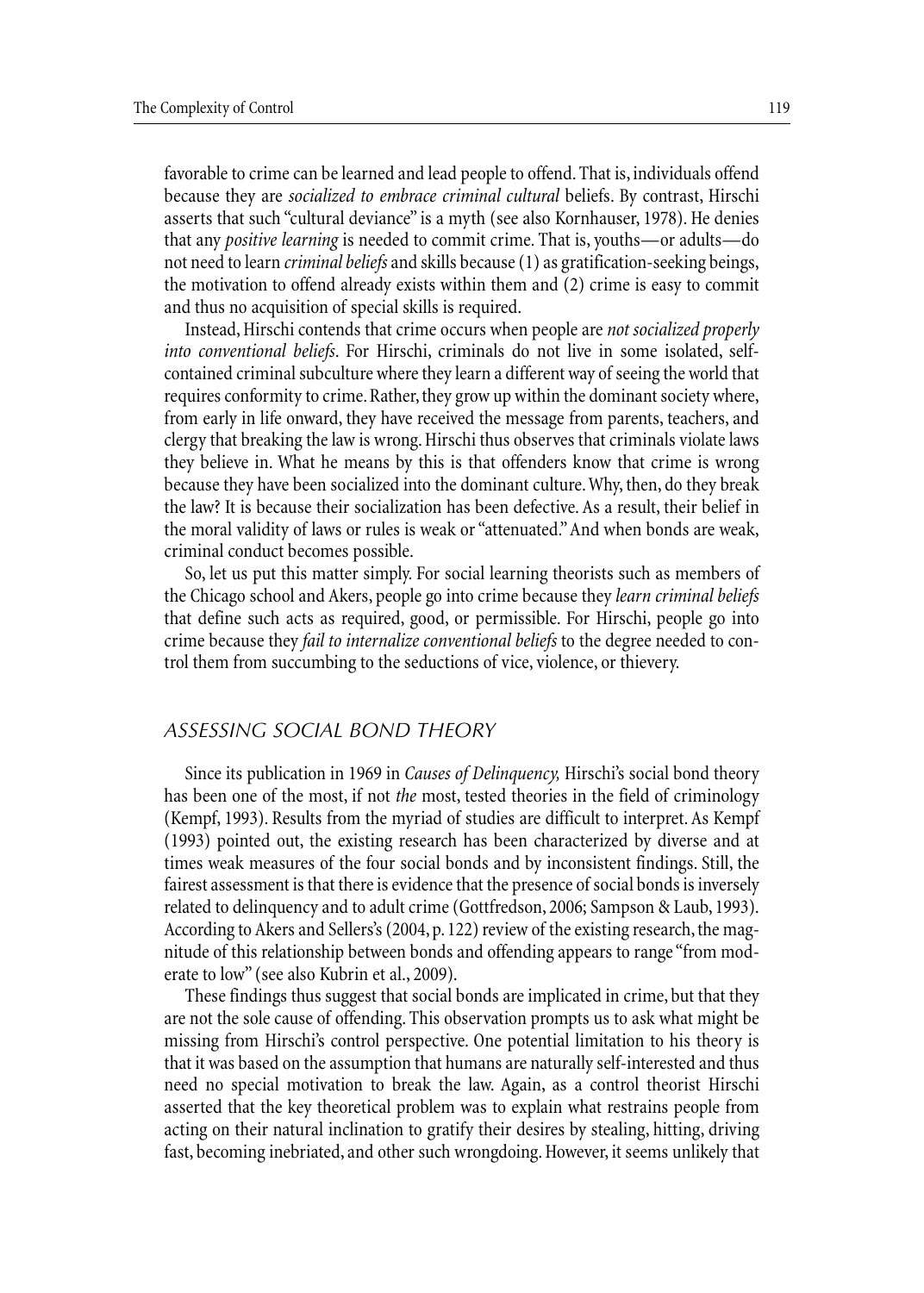favorable to crime can be learned and lead people to offend. That is, individuals offend because they are *socialized to embrace criminal cultural* beliefs. By contrast, Hirschi asserts that such "cultural deviance" is a myth (see also Kornhauser, 1978). He denies that any *positive learning* is needed to commit crime. That is, youths—or adults—do not need to learn *criminal beliefs* and skills because (1) as gratification-seeking beings, the motivation to offend already exists within them and (2) crime is easy to commit and thus no acquisition of special skills is required.

Instead, Hirschi contends that crime occurs when people are *not socialized properly into conventional beliefs*. For Hirschi, criminals do not live in some isolated, selfcontained criminal subculture where they learn a different way of seeing the world that requires conformity to crime. Rather, they grow up within the dominant society where, from early in life onward, they have received the message from parents, teachers, and clergy that breaking the law is wrong. Hirschi thus observes that criminals violate laws they believe in. What he means by this is that offenders know that crime is wrong because they have been socialized into the dominant culture. Why, then, do they break the law? It is because their socialization has been defective. As a result, their belief in the moral validity of laws or rules is weak or "attenuated." And when bonds are weak, criminal conduct becomes possible.

So, let us put this matter simply. For social learning theorists such as members of the Chicago school and Akers, people go into crime because they *learn criminal beliefs* that define such acts as required, good, or permissible. For Hirschi, people go into crime because they *fail to internalize conventional beliefs* to the degree needed to control them from succumbing to the seductions of vice, violence, or thievery.

#### *ASSESSING SOCIAL BOND THEORY*

Since its publication in 1969 in *Causes of Delinquency,* Hirschi's social bond theory has been one of the most, if not *the* most, tested theories in the field of criminology (Kempf, 1993). Results from the myriad of studies are difficult to interpret. As Kempf (1993) pointed out, the existing research has been characterized by diverse and at times weak measures of the four social bonds and by inconsistent findings. Still, the fairest assessment is that there is evidence that the presence of social bonds is inversely related to delinquency and to adult crime (Gottfredson, 2006; Sampson & Laub, 1993). According to Akers and Sellers's (2004, p. 122) review of the existing research, the magnitude of this relationship between bonds and offending appears to range "from moderate to low" (see also Kubrin et al., 2009).

These findings thus suggest that social bonds are implicated in crime, but that they are not the sole cause of offending. This observation prompts us to ask what might be missing from Hirschi's control perspective. One potential limitation to his theory is that it was based on the assumption that humans are naturally self-interested and thus need no special motivation to break the law. Again, as a control theorist Hirschi asserted that the key theoretical problem was to explain what restrains people from acting on their natural inclination to gratify their desires by stealing, hitting, driving fast, becoming inebriated, and other such wrongdoing. However, it seems unlikely that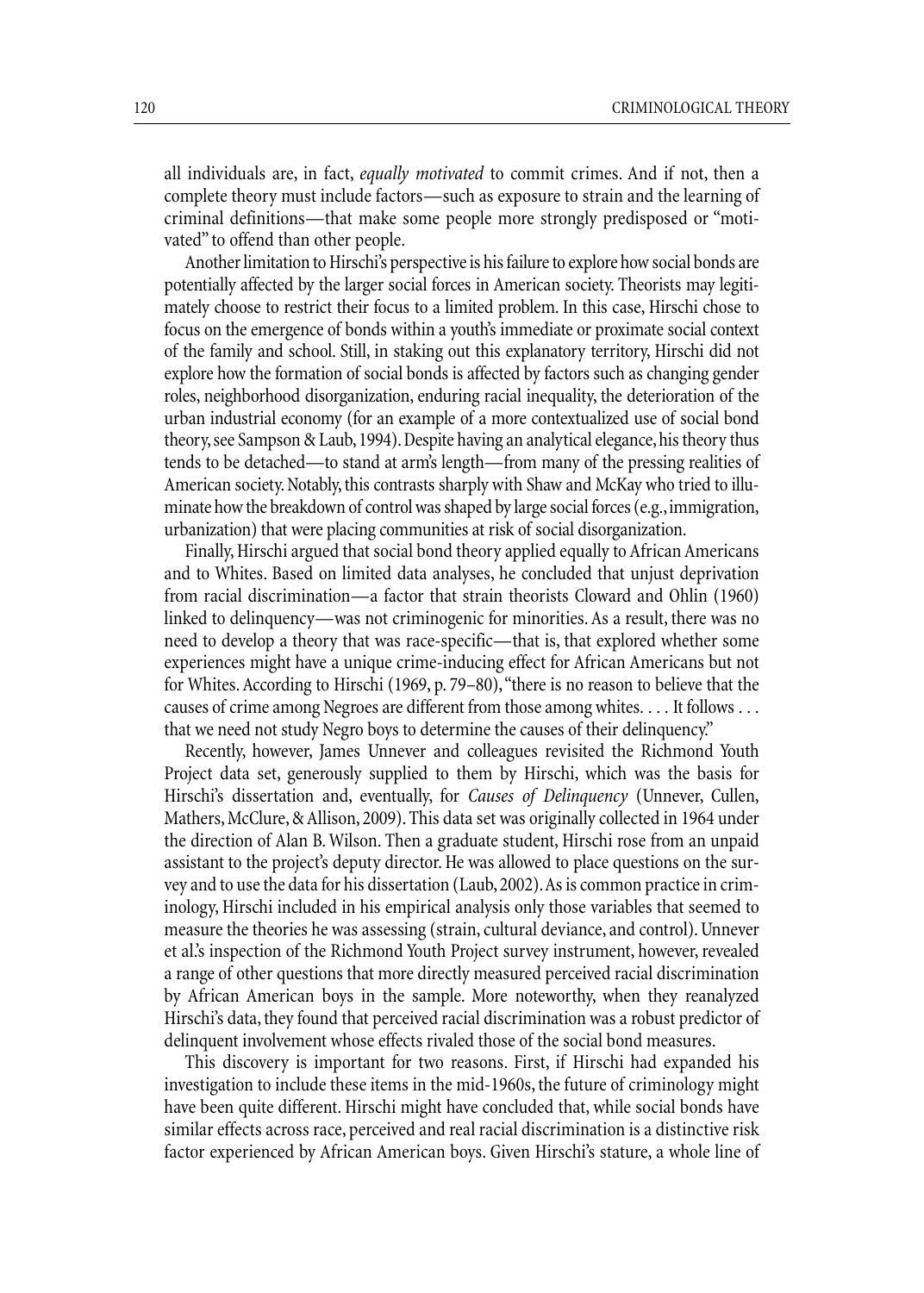all individuals are, in fact, *equally motivated* to commit crimes. And if not, then a complete theory must include factors—such as exposure to strain and the learning of criminal definitions—that make some people more strongly predisposed or "motivated" to offend than other people.

Another limitation to Hirschi's perspective is his failure to explore how social bonds are potentially affected by the larger social forces in American society. Theorists may legitimately choose to restrict their focus to a limited problem. In this case, Hirschi chose to focus on the emergence of bonds within a youth's immediate or proximate social context of the family and school. Still, in staking out this explanatory territory, Hirschi did not explore how the formation of social bonds is affected by factors such as changing gender roles, neighborhood disorganization, enduring racial inequality, the deterioration of the urban industrial economy (for an example of a more contextualized use of social bond theory, see Sampson & Laub, 1994). Despite having an analytical elegance, his theory thus tends to be detached—to stand at arm's length—from many of the pressing realities of American society. Notably, this contrasts sharply with Shaw and McKay who tried to illuminate how the breakdown of control was shaped by large social forces (e.g., immigration, urbanization) that were placing communities at risk of social disorganization.

Finally, Hirschi argued that social bond theory applied equally to African Americans and to Whites. Based on limited data analyses, he concluded that unjust deprivation from racial discrimination—a factor that strain theorists Cloward and Ohlin (1960) linked to delinquency—was not criminogenic for minorities. As a result, there was no need to develop a theory that was race-specific—that is, that explored whether some experiences might have a unique crime-inducing effect for African Americans but not for Whites. According to Hirschi (1969, p. 79–80),"there is no reason to believe that the causes of crime among Negroes are different from those among whites. ... It follows ... that we need not study Negro boys to determine the causes of their delinquency."

Recently, however, James Unnever and colleagues revisited the Richmond Youth Project data set, generously supplied to them by Hirschi, which was the basis for Hirschi's dissertation and, eventually, for *Causes of Delinquency* (Unnever, Cullen, Mathers, McClure, & Allison, 2009). This data set was originally collected in 1964 under the direction of Alan B. Wilson. Then a graduate student, Hirschi rose from an unpaid assistant to the project's deputy director. He was allowed to place questions on the survey and to use the data for his dissertation (Laub, 2002).As is common practice in criminology, Hirschi included in his empirical analysis only those variables that seemed to measure the theories he was assessing (strain, cultural deviance, and control). Unnever et al.'s inspection of the Richmond Youth Project survey instrument, however, revealed a range of other questions that more directly measured perceived racial discrimination by African American boys in the sample. More noteworthy, when they reanalyzed Hirschi's data, they found that perceived racial discrimination was a robust predictor of delinquent involvement whose effects rivaled those of the social bond measures.

This discovery is important for two reasons. First, if Hirschi had expanded his investigation to include these items in the mid-1960s, the future of criminology might have been quite different. Hirschi might have concluded that, while social bonds have similar effects across race, perceived and real racial discrimination is a distinctive risk factor experienced by African American boys. Given Hirschi's stature, a whole line of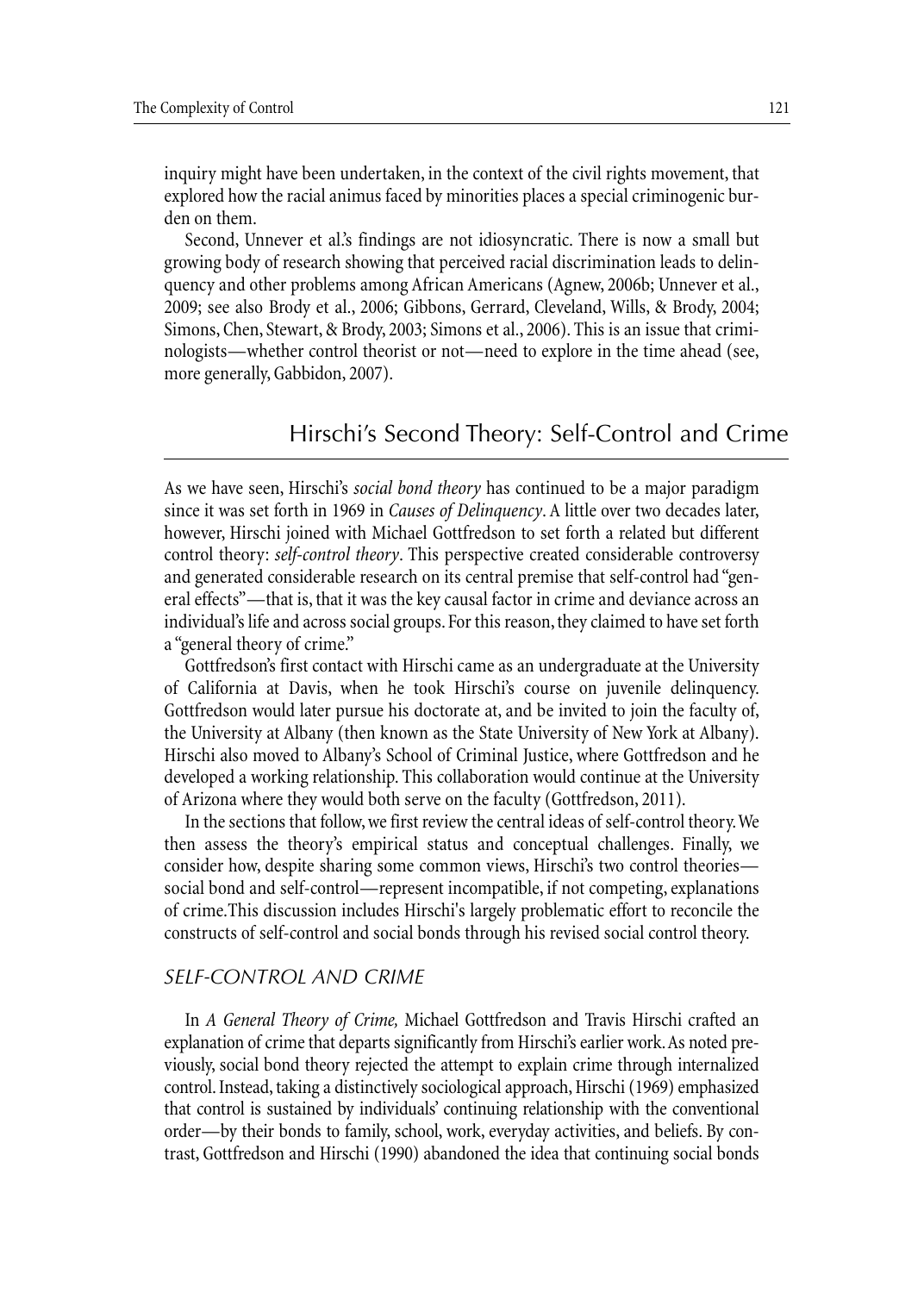inquiry might have been undertaken, in the context of the civil rights movement, that explored how the racial animus faced by minorities places a special criminogenic burden on them.

Second, Unnever et al.'s findings are not idiosyncratic. There is now a small but growing body of research showing that perceived racial discrimination leads to delinquency and other problems among African Americans (Agnew, 2006b; Unnever et al., 2009; see also Brody et al., 2006; Gibbons, Gerrard, Cleveland, Wills, & Brody, 2004; Simons, Chen, Stewart, & Brody, 2003; Simons et al., 2006). This is an issue that criminologists—whether control theorist or not—need to explore in the time ahead (see, more generally, Gabbidon, 2007).

# Hirschi's Second Theory: Self-Control and Crime

As we have seen, Hirschi's *social bond theory* has continued to be a major paradigm since it was set forth in 1969 in *Causes of Delinquency*. A little over two decades later, however, Hirschi joined with Michael Gottfredson to set forth a related but different control theory: *self-control theory*. This perspective created considerable controversy and generated considerable research on its central premise that self-control had "general effects"—that is, that it was the key causal factor in crime and deviance across an individual's life and across social groups. For this reason, they claimed to have set forth a "general theory of crime."

Gottfredson's first contact with Hirschi came as an undergraduate at the University of California at Davis, when he took Hirschi's course on juvenile delinquency. Gottfredson would later pursue his doctorate at, and be invited to join the faculty of, the University at Albany (then known as the State University of New York at Albany). Hirschi also moved to Albany's School of Criminal Justice, where Gottfredson and he developed a working relationship. This collaboration would continue at the University of Arizona where they would both serve on the faculty (Gottfredson, 2011).

In the sections that follow, we first review the central ideas of self-control theory.We then assess the theory's empirical status and conceptual challenges. Finally, we consider how, despite sharing some common views, Hirschi's two control theories social bond and self-control—represent incompatible, if not competing, explanations of crime.This discussion includes Hirschi's largely problematic effort to reconcile the constructs of self-control and social bonds through his revised social control theory.

#### *SELF-CONTROL AND CRIME*

In *A General Theory of Crime,* Michael Gottfredson and Travis Hirschi crafted an explanation of crime that departs significantly from Hirschi's earlier work.As noted previously, social bond theory rejected the attempt to explain crime through internalized control. Instead, taking a distinctively sociological approach, Hirschi (1969) emphasized that control is sustained by individuals' continuing relationship with the conventional order—by their bonds to family, school, work, everyday activities, and beliefs. By contrast, Gottfredson and Hirschi (1990) abandoned the idea that continuing social bonds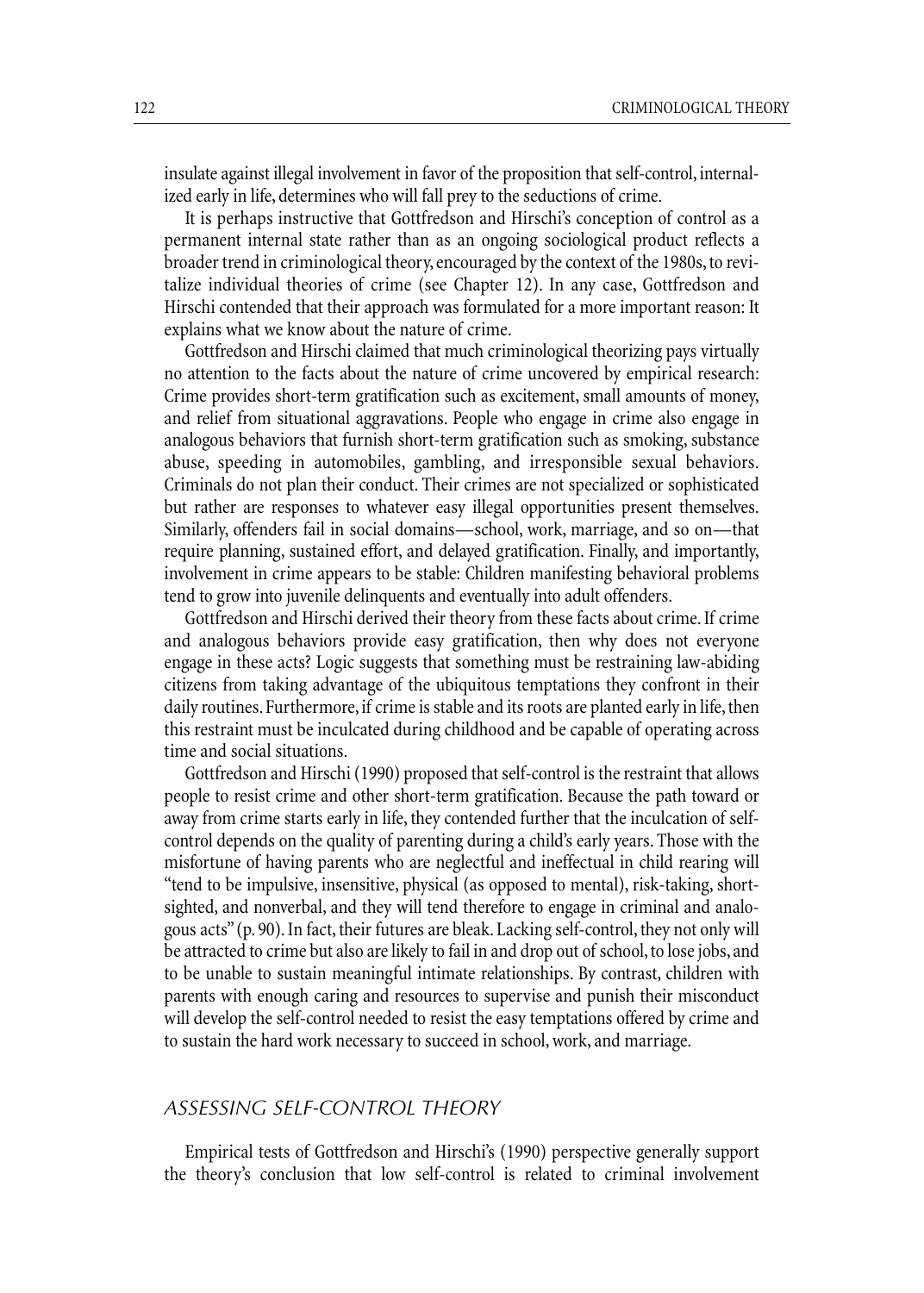insulate against illegal involvement in favor of the proposition that self-control, internalized early in life, determines who will fall prey to the seductions of crime.

It is perhaps instructive that Gottfredson and Hirschi's conception of control as a permanent internal state rather than as an ongoing sociological product reflects a broader trend in criminological theory, encouraged by the context of the 1980s, to revitalize individual theories of crime (see Chapter 12). In any case, Gottfredson and Hirschi contended that their approach was formulated for a more important reason: It explains what we know about the nature of crime.

Gottfredson and Hirschi claimed that much criminological theorizing pays virtually no attention to the facts about the nature of crime uncovered by empirical research: Crime provides short-term gratification such as excitement, small amounts of money, and relief from situational aggravations. People who engage in crime also engage in analogous behaviors that furnish short-term gratification such as smoking, substance abuse, speeding in automobiles, gambling, and irresponsible sexual behaviors. Criminals do not plan their conduct. Their crimes are not specialized or sophisticated but rather are responses to whatever easy illegal opportunities present themselves. Similarly, offenders fail in social domains—school, work, marriage, and so on—that require planning, sustained effort, and delayed gratification. Finally, and importantly, involvement in crime appears to be stable: Children manifesting behavioral problems tend to grow into juvenile delinquents and eventually into adult offenders.

Gottfredson and Hirschi derived their theory from these facts about crime. If crime and analogous behaviors provide easy gratification, then why does not everyone engage in these acts? Logic suggests that something must be restraining law-abiding citizens from taking advantage of the ubiquitous temptations they confront in their daily routines. Furthermore, if crime is stable and its roots are planted early in life, then this restraint must be inculcated during childhood and be capable of operating across time and social situations.

Gottfredson and Hirschi (1990) proposed that self-control is the restraint that allows people to resist crime and other short-term gratification. Because the path toward or away from crime starts early in life, they contended further that the inculcation of selfcontrol depends on the quality of parenting during a child's early years. Those with the misfortune of having parents who are neglectful and ineffectual in child rearing will "tend to be impulsive, insensitive, physical (as opposed to mental), risk-taking, shortsighted, and nonverbal, and they will tend therefore to engage in criminal and analogous acts" (p. 90). In fact, their futures are bleak. Lacking self-control, they not only will be attracted to crime but also are likely to fail in and drop out of school, to lose jobs, and to be unable to sustain meaningful intimate relationships. By contrast, children with parents with enough caring and resources to supervise and punish their misconduct will develop the self-control needed to resist the easy temptations offered by crime and to sustain the hard work necessary to succeed in school, work, and marriage.

#### *ASSESSING SELF-CONTROL THEORY*

Empirical tests of Gottfredson and Hirschi's (1990) perspective generally support the theory's conclusion that low self-control is related to criminal involvement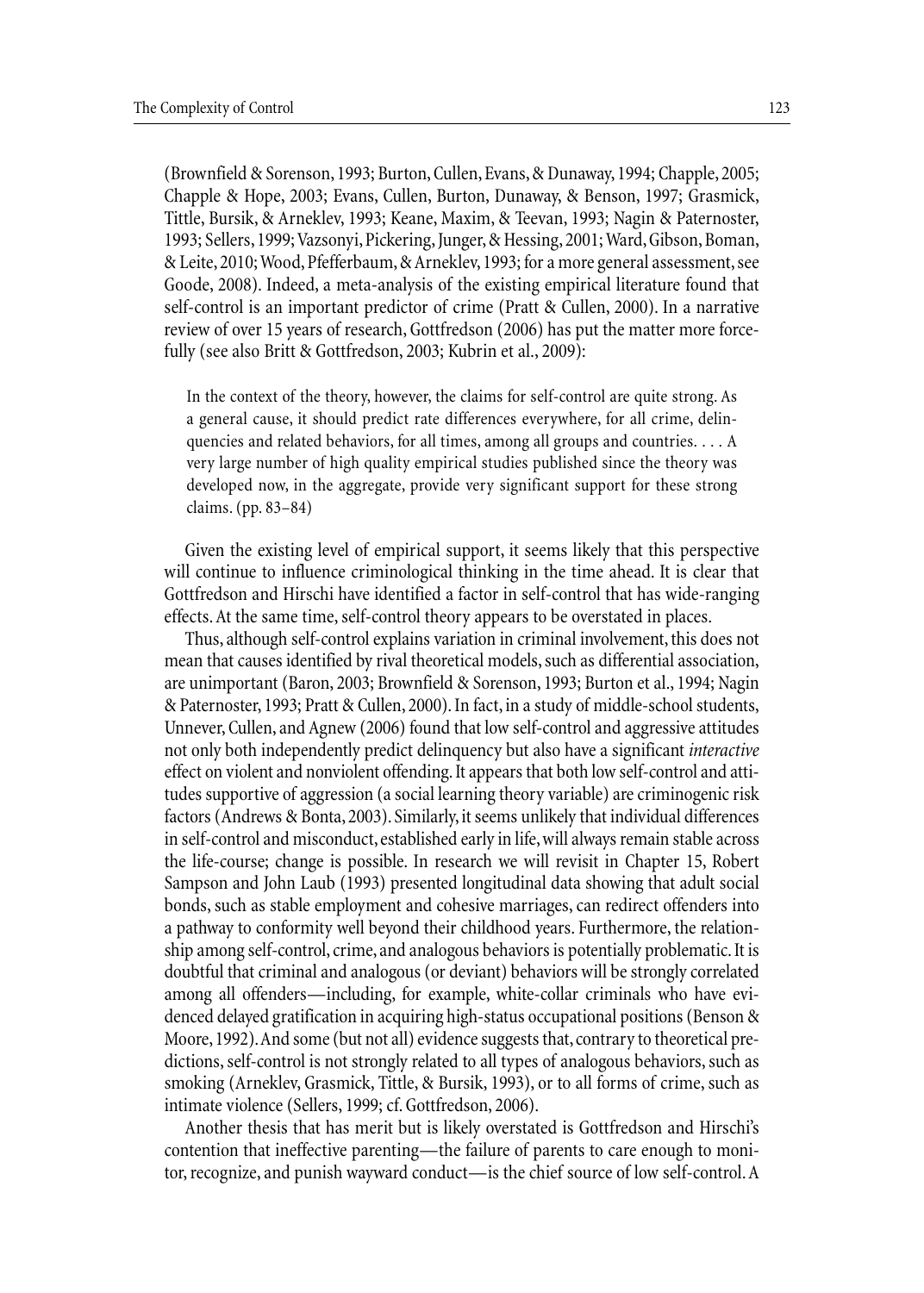(Brownfield & Sorenson, 1993; Burton, Cullen, Evans, & Dunaway, 1994; Chapple, 2005; Chapple & Hope, 2003; Evans, Cullen, Burton, Dunaway, & Benson, 1997; Grasmick, Tittle, Bursik, & Arneklev, 1993; Keane, Maxim, & Teevan, 1993; Nagin & Paternoster, 1993; Sellers, 1999; Vazsonyi, Pickering, Junger, & Hessing, 2001; Ward, Gibson, Boman, & Leite, 2010; Wood, Pfefferbaum, & Arneklev, 1993; for a more general assessment, see Goode, 2008). Indeed, a meta-analysis of the existing empirical literature found that self-control is an important predictor of crime (Pratt & Cullen, 2000). In a narrative review of over 15 years of research, Gottfredson (2006) has put the matter more forcefully (see also Britt & Gottfredson, 2003; Kubrin et al., 2009):

In the context of the theory, however, the claims for self-control are quite strong. As a general cause, it should predict rate differences everywhere, for all crime, delinquencies and related behaviors, for all times, among all groups and countries. ...A very large number of high quality empirical studies published since the theory was developed now, in the aggregate, provide very significant support for these strong claims. (pp. 83–84)

Given the existing level of empirical support, it seems likely that this perspective will continue to influence criminological thinking in the time ahead. It is clear that Gottfredson and Hirschi have identified a factor in self-control that has wide-ranging effects. At the same time, self-control theory appears to be overstated in places.

Thus, although self-control explains variation in criminal involvement, this does not mean that causes identified by rival theoretical models, such as differential association, are unimportant (Baron, 2003; Brownfield & Sorenson, 1993; Burton et al., 1994; Nagin & Paternoster, 1993; Pratt & Cullen, 2000). In fact, in a study of middle-school students, Unnever, Cullen, and Agnew (2006) found that low self-control and aggressive attitudes not only both independently predict delinquency but also have a significant *interactive* effect on violent and nonviolent offending. It appears that both low self-control and attitudes supportive of aggression (a social learning theory variable) are criminogenic risk factors (Andrews & Bonta, 2003). Similarly, it seems unlikely that individual differences in self-control and misconduct, established early in life, will always remain stable across the life-course; change is possible. In research we will revisit in Chapter 15, Robert Sampson and John Laub (1993) presented longitudinal data showing that adult social bonds, such as stable employment and cohesive marriages, can redirect offenders into a pathway to conformity well beyond their childhood years. Furthermore, the relationship among self-control, crime, and analogous behaviors is potentially problematic. It is doubtful that criminal and analogous (or deviant) behaviors will be strongly correlated among all offenders—including, for example, white-collar criminals who have evidenced delayed gratification in acquiring high-status occupational positions (Benson & Moore, 1992).And some (but not all) evidence suggests that, contrary to theoretical predictions, self-control is not strongly related to all types of analogous behaviors, such as smoking (Arneklev, Grasmick, Tittle, & Bursik, 1993), or to all forms of crime, such as intimate violence (Sellers, 1999; cf. Gottfredson, 2006).

Another thesis that has merit but is likely overstated is Gottfredson and Hirschi's contention that ineffective parenting—the failure of parents to care enough to monitor, recognize, and punish wayward conduct—is the chief source of low self-control. A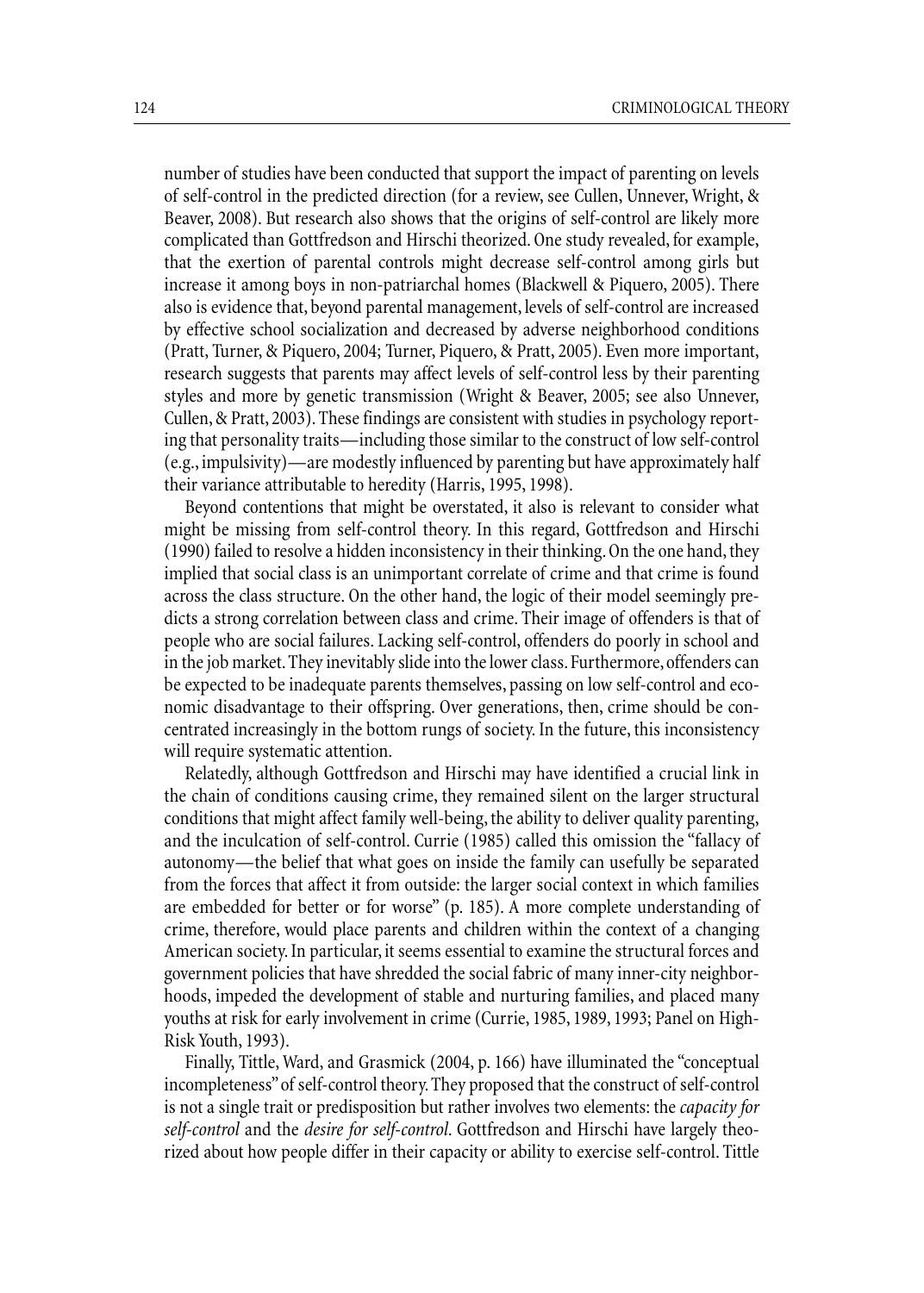number of studies have been conducted that support the impact of parenting on levels of self-control in the predicted direction (for a review, see Cullen, Unnever, Wright, & Beaver, 2008). But research also shows that the origins of self-control are likely more complicated than Gottfredson and Hirschi theorized. One study revealed, for example, that the exertion of parental controls might decrease self-control among girls but increase it among boys in non-patriarchal homes (Blackwell & Piquero, 2005). There also is evidence that, beyond parental management, levels of self-control are increased by effective school socialization and decreased by adverse neighborhood conditions (Pratt, Turner, & Piquero, 2004; Turner, Piquero, & Pratt, 2005). Even more important, research suggests that parents may affect levels of self-control less by their parenting styles and more by genetic transmission (Wright & Beaver, 2005; see also Unnever, Cullen, & Pratt, 2003). These findings are consistent with studies in psychology reporting that personality traits—including those similar to the construct of low self-control (e.g., impulsivity)—are modestly influenced by parenting but have approximately half their variance attributable to heredity (Harris, 1995, 1998).

Beyond contentions that might be overstated, it also is relevant to consider what might be missing from self-control theory. In this regard, Gottfredson and Hirschi (1990) failed to resolve a hidden inconsistency in their thinking. On the one hand, they implied that social class is an unimportant correlate of crime and that crime is found across the class structure. On the other hand, the logic of their model seemingly predicts a strong correlation between class and crime. Their image of offenders is that of people who are social failures. Lacking self-control, offenders do poorly in school and in the job market. They inevitably slide into the lower class. Furthermore, offenders can be expected to be inadequate parents themselves, passing on low self-control and economic disadvantage to their offspring. Over generations, then, crime should be concentrated increasingly in the bottom rungs of society. In the future, this inconsistency will require systematic attention.

Relatedly, although Gottfredson and Hirschi may have identified a crucial link in the chain of conditions causing crime, they remained silent on the larger structural conditions that might affect family well-being, the ability to deliver quality parenting, and the inculcation of self-control. Currie (1985) called this omission the "fallacy of autonomy—the belief that what goes on inside the family can usefully be separated from the forces that affect it from outside: the larger social context in which families are embedded for better or for worse" (p. 185). A more complete understanding of crime, therefore, would place parents and children within the context of a changing American society. In particular, it seems essential to examine the structural forces and government policies that have shredded the social fabric of many inner-city neighborhoods, impeded the development of stable and nurturing families, and placed many youths at risk for early involvement in crime (Currie, 1985, 1989, 1993; Panel on High-Risk Youth, 1993).

Finally, Tittle, Ward, and Grasmick (2004, p. 166) have illuminated the "conceptual incompleteness"of self-control theory. They proposed that the construct of self-control is not a single trait or predisposition but rather involves two elements: the *capacity for self-control* and the *desire for self-control*. Gottfredson and Hirschi have largely theorized about how people differ in their capacity or ability to exercise self-control. Tittle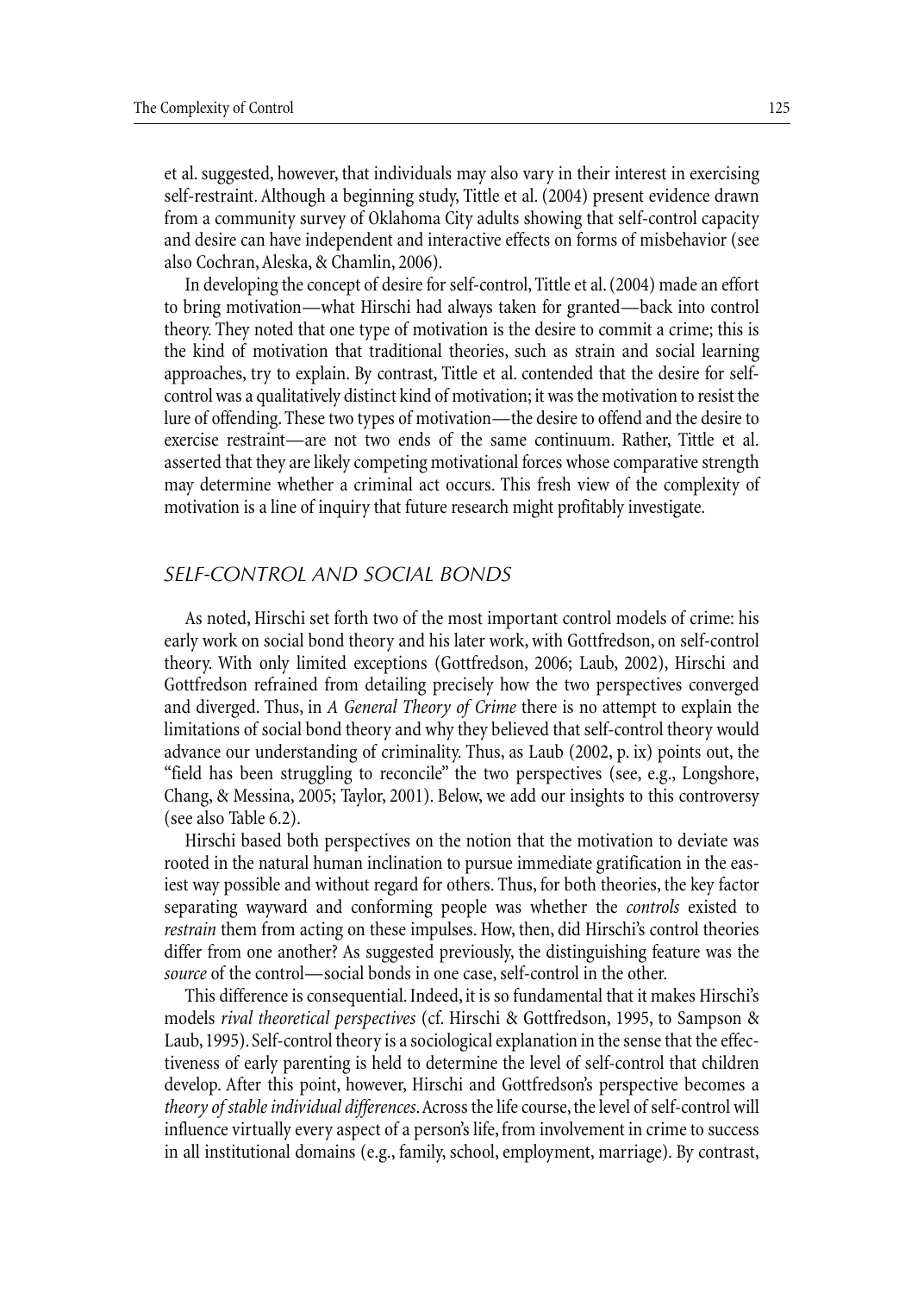et al. suggested, however, that individuals may also vary in their interest in exercising self-restraint. Although a beginning study, Tittle et al. (2004) present evidence drawn from a community survey of Oklahoma City adults showing that self-control capacity and desire can have independent and interactive effects on forms of misbehavior (see also Cochran, Aleska, & Chamlin, 2006).

In developing the concept of desire for self-control, Tittle et al. (2004) made an effort to bring motivation—what Hirschi had always taken for granted—back into control theory. They noted that one type of motivation is the desire to commit a crime; this is the kind of motivation that traditional theories, such as strain and social learning approaches, try to explain. By contrast, Tittle et al. contended that the desire for selfcontrol was a qualitatively distinct kind of motivation; it was the motivation to resist the lure of offending. These two types of motivation—the desire to offend and the desire to exercise restraint—are not two ends of the same continuum. Rather, Tittle et al. asserted that they are likely competing motivational forces whose comparative strength may determine whether a criminal act occurs. This fresh view of the complexity of motivation is a line of inquiry that future research might profitably investigate.

#### *SELF-CONTROL AND SOCIAL BONDS*

As noted, Hirschi set forth two of the most important control models of crime: his early work on social bond theory and his later work, with Gottfredson, on self-control theory. With only limited exceptions (Gottfredson, 2006; Laub, 2002), Hirschi and Gottfredson refrained from detailing precisely how the two perspectives converged and diverged. Thus, in *A General Theory of Crime* there is no attempt to explain the limitations of social bond theory and why they believed that self-control theory would advance our understanding of criminality. Thus, as Laub (2002, p. ix) points out, the "field has been struggling to reconcile" the two perspectives (see, e.g., Longshore, Chang, & Messina, 2005; Taylor, 2001). Below, we add our insights to this controversy (see also Table 6.2).

Hirschi based both perspectives on the notion that the motivation to deviate was rooted in the natural human inclination to pursue immediate gratification in the easiest way possible and without regard for others. Thus, for both theories, the key factor separating wayward and conforming people was whether the *controls* existed to *restrain* them from acting on these impulses. How, then, did Hirschi's control theories differ from one another? As suggested previously, the distinguishing feature was the *source* of the control—social bonds in one case, self-control in the other.

This difference is consequential. Indeed, it is so fundamental that it makes Hirschi's models *rival theoretical perspectives* (cf. Hirschi & Gottfredson, 1995, to Sampson & Laub, 1995). Self-control theory is a sociological explanation in the sense that the effectiveness of early parenting is held to determine the level of self-control that children develop. After this point, however, Hirschi and Gottfredson's perspective becomes a *theory of stable individual differences*.Across the life course, the level of self-control will influence virtually every aspect of a person's life, from involvement in crime to success in all institutional domains (e.g., family, school, employment, marriage). By contrast,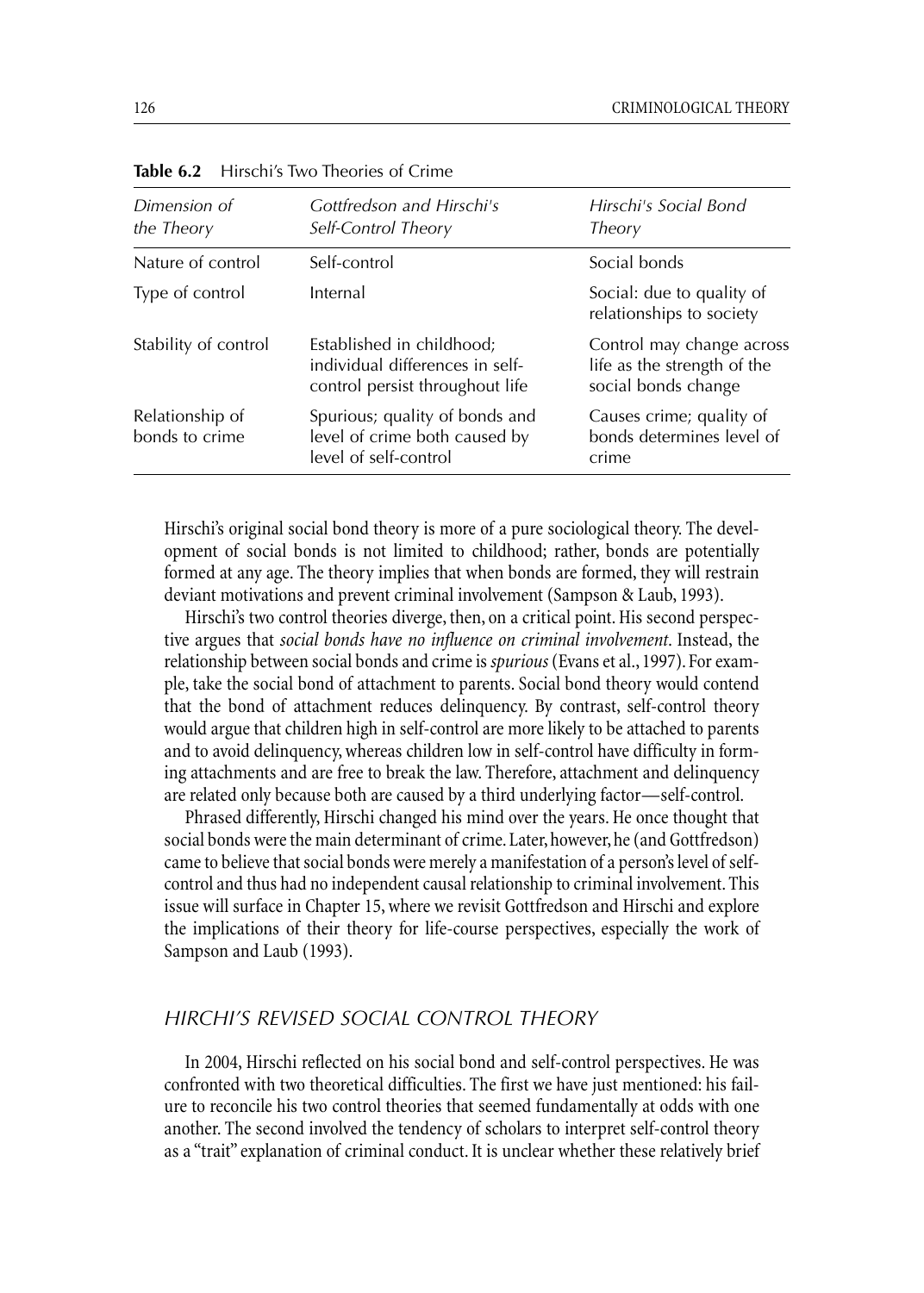| Dimension of<br>the Theory        | <b>Cottfredson and Hirschi's</b><br>Self-Control Theory                                         | Hirschi's Social Bond<br>Theory                                                 |
|-----------------------------------|-------------------------------------------------------------------------------------------------|---------------------------------------------------------------------------------|
| Nature of control                 | Self-control                                                                                    | Social bonds                                                                    |
| Type of control                   | Internal                                                                                        | Social: due to quality of<br>relationships to society                           |
| Stability of control              | Established in childhood;<br>individual differences in self-<br>control persist throughout life | Control may change across<br>life as the strength of the<br>social bonds change |
| Relationship of<br>bonds to crime | Spurious; quality of bonds and<br>level of crime both caused by<br>level of self-control        | Causes crime; quality of<br>bonds determines level of<br>crime                  |

**Table 6.2** Hirschi's Two Theories of Crime

Hirschi's original social bond theory is more of a pure sociological theory. The development of social bonds is not limited to childhood; rather, bonds are potentially formed at any age. The theory implies that when bonds are formed, they will restrain deviant motivations and prevent criminal involvement (Sampson & Laub, 1993).

Hirschi's two control theories diverge, then, on a critical point. His second perspective argues that *social bonds have no influence on criminal involvement*. Instead, the relationship between social bonds and crime is*spurious* (Evans et al., 1997). For example, take the social bond of attachment to parents. Social bond theory would contend that the bond of attachment reduces delinquency. By contrast, self-control theory would argue that children high in self-control are more likely to be attached to parents and to avoid delinquency, whereas children low in self-control have difficulty in forming attachments and are free to break the law. Therefore, attachment and delinquency are related only because both are caused by a third underlying factor—self-control.

Phrased differently, Hirschi changed his mind over the years. He once thought that social bonds were the main determinant of crime. Later, however, he (and Gottfredson) came to believe that social bonds were merely a manifestation of a person's level of selfcontrol and thus had no independent causal relationship to criminal involvement. This issue will surface in Chapter 15, where we revisit Gottfredson and Hirschi and explore the implications of their theory for life-course perspectives, especially the work of Sampson and Laub (1993).

## *HIRCHI'S REVISED SOCIAL CONTROL THEORY*

In 2004, Hirschi reflected on his social bond and self-control perspectives. He was confronted with two theoretical difficulties. The first we have just mentioned: his failure to reconcile his two control theories that seemed fundamentally at odds with one another. The second involved the tendency of scholars to interpret self-control theory as a "trait" explanation of criminal conduct. It is unclear whether these relatively brief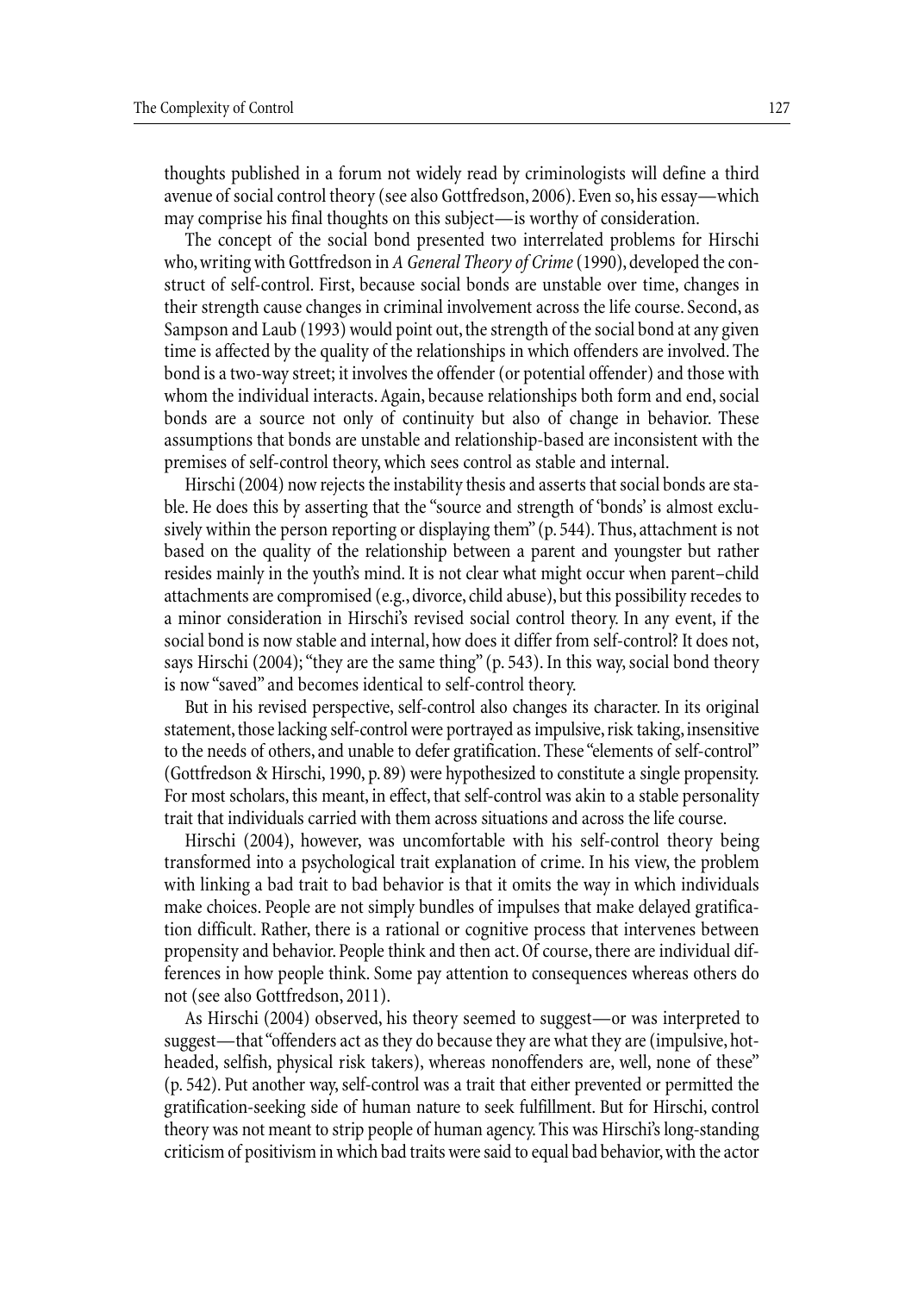thoughts published in a forum not widely read by criminologists will define a third avenue of social control theory (see also Gottfredson, 2006). Even so, his essay—which may comprise his final thoughts on this subject—is worthy of consideration.

The concept of the social bond presented two interrelated problems for Hirschi who, writing with Gottfredson in *A General Theory of Crime*(1990), developed the construct of self-control. First, because social bonds are unstable over time, changes in their strength cause changes in criminal involvement across the life course. Second, as Sampson and Laub (1993) would point out, the strength of the social bond at any given time is affected by the quality of the relationships in which offenders are involved. The bond is a two-way street; it involves the offender (or potential offender) and those with whom the individual interacts. Again, because relationships both form and end, social bonds are a source not only of continuity but also of change in behavior. These assumptions that bonds are unstable and relationship-based are inconsistent with the premises of self-control theory, which sees control as stable and internal.

Hirschi (2004) now rejects the instability thesis and asserts that social bonds are stable. He does this by asserting that the "source and strength of 'bonds' is almost exclusively within the person reporting or displaying them" (p. 544). Thus, attachment is not based on the quality of the relationship between a parent and youngster but rather resides mainly in the youth's mind. It is not clear what might occur when parent–child attachments are compromised (e.g., divorce, child abuse), but this possibility recedes to a minor consideration in Hirschi's revised social control theory. In any event, if the social bond is now stable and internal, how does it differ from self-control? It does not, says Hirschi (2004); "they are the same thing" (p. 543). In this way, social bond theory is now "saved" and becomes identical to self-control theory.

But in his revised perspective, self-control also changes its character. In its original statement, those lacking self-control were portrayed as impulsive, risk taking, insensitive to the needs of others, and unable to defer gratification. These "elements of self-control" (Gottfredson & Hirschi, 1990, p. 89) were hypothesized to constitute a single propensity. For most scholars, this meant, in effect, that self-control was akin to a stable personality trait that individuals carried with them across situations and across the life course.

Hirschi (2004), however, was uncomfortable with his self-control theory being transformed into a psychological trait explanation of crime. In his view, the problem with linking a bad trait to bad behavior is that it omits the way in which individuals make choices. People are not simply bundles of impulses that make delayed gratification difficult. Rather, there is a rational or cognitive process that intervenes between propensity and behavior. People think and then act. Of course, there are individual differences in how people think. Some pay attention to consequences whereas others do not (see also Gottfredson, 2011).

As Hirschi (2004) observed, his theory seemed to suggest—or was interpreted to suggest—that "offenders act as they do because they are what they are (impulsive, hotheaded, selfish, physical risk takers), whereas nonoffenders are, well, none of these" (p. 542). Put another way, self-control was a trait that either prevented or permitted the gratification-seeking side of human nature to seek fulfillment. But for Hirschi, control theory was not meant to strip people of human agency. This was Hirschi's long-standing criticism of positivism in which bad traits were said to equal bad behavior, with the actor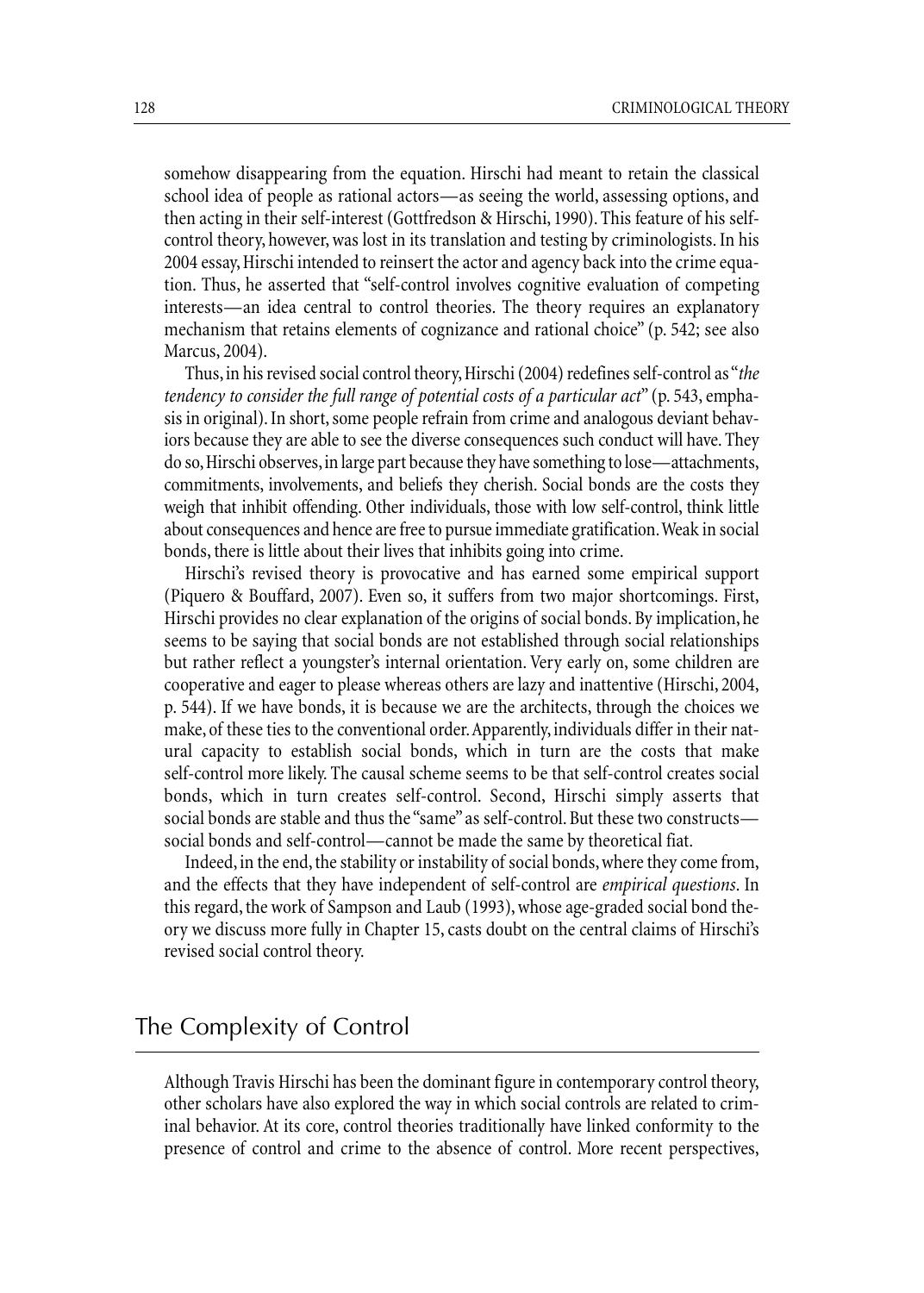somehow disappearing from the equation. Hirschi had meant to retain the classical school idea of people as rational actors—as seeing the world, assessing options, and then acting in their self-interest (Gottfredson & Hirschi, 1990). This feature of his selfcontrol theory, however, was lost in its translation and testing by criminologists. In his 2004 essay, Hirschi intended to reinsert the actor and agency back into the crime equation. Thus, he asserted that "self-control involves cognitive evaluation of competing interests—an idea central to control theories. The theory requires an explanatory mechanism that retains elements of cognizance and rational choice" (p. 542; see also Marcus, 2004).

Thus, in his revised social control theory, Hirschi (2004) redefines self-control as"*the tendency to consider the full range of potential costs of a particular act*" (p. 543, emphasis in original). In short, some people refrain from crime and analogous deviant behaviors because they are able to see the diverse consequences such conduct will have. They do so,Hirschi observes,in large part because they have something to lose—attachments, commitments, involvements, and beliefs they cherish. Social bonds are the costs they weigh that inhibit offending. Other individuals, those with low self-control, think little about consequences and hence are free to pursue immediate gratification.Weak in social bonds, there is little about their lives that inhibits going into crime.

Hirschi's revised theory is provocative and has earned some empirical support (Piquero & Bouffard, 2007). Even so, it suffers from two major shortcomings. First, Hirschi provides no clear explanation of the origins of social bonds. By implication, he seems to be saying that social bonds are not established through social relationships but rather reflect a youngster's internal orientation. Very early on, some children are cooperative and eager to please whereas others are lazy and inattentive (Hirschi, 2004, p. 544). If we have bonds, it is because we are the architects, through the choices we make, of these ties to the conventional order.Apparently, individuals differ in their natural capacity to establish social bonds, which in turn are the costs that make self-control more likely. The causal scheme seems to be that self-control creates social bonds, which in turn creates self-control. Second, Hirschi simply asserts that social bonds are stable and thus the "same" as self-control. But these two constructs social bonds and self-control—cannot be made the same by theoretical fiat.

Indeed, in the end, the stability or instability of social bonds, where they come from, and the effects that they have independent of self-control are *empirical questions*. In this regard, the work of Sampson and Laub (1993), whose age-graded social bond theory we discuss more fully in Chapter 15, casts doubt on the central claims of Hirschi's revised social control theory.

# The Complexity of Control

Although Travis Hirschi has been the dominant figure in contemporary control theory, other scholars have also explored the way in which social controls are related to criminal behavior. At its core, control theories traditionally have linked conformity to the presence of control and crime to the absence of control. More recent perspectives,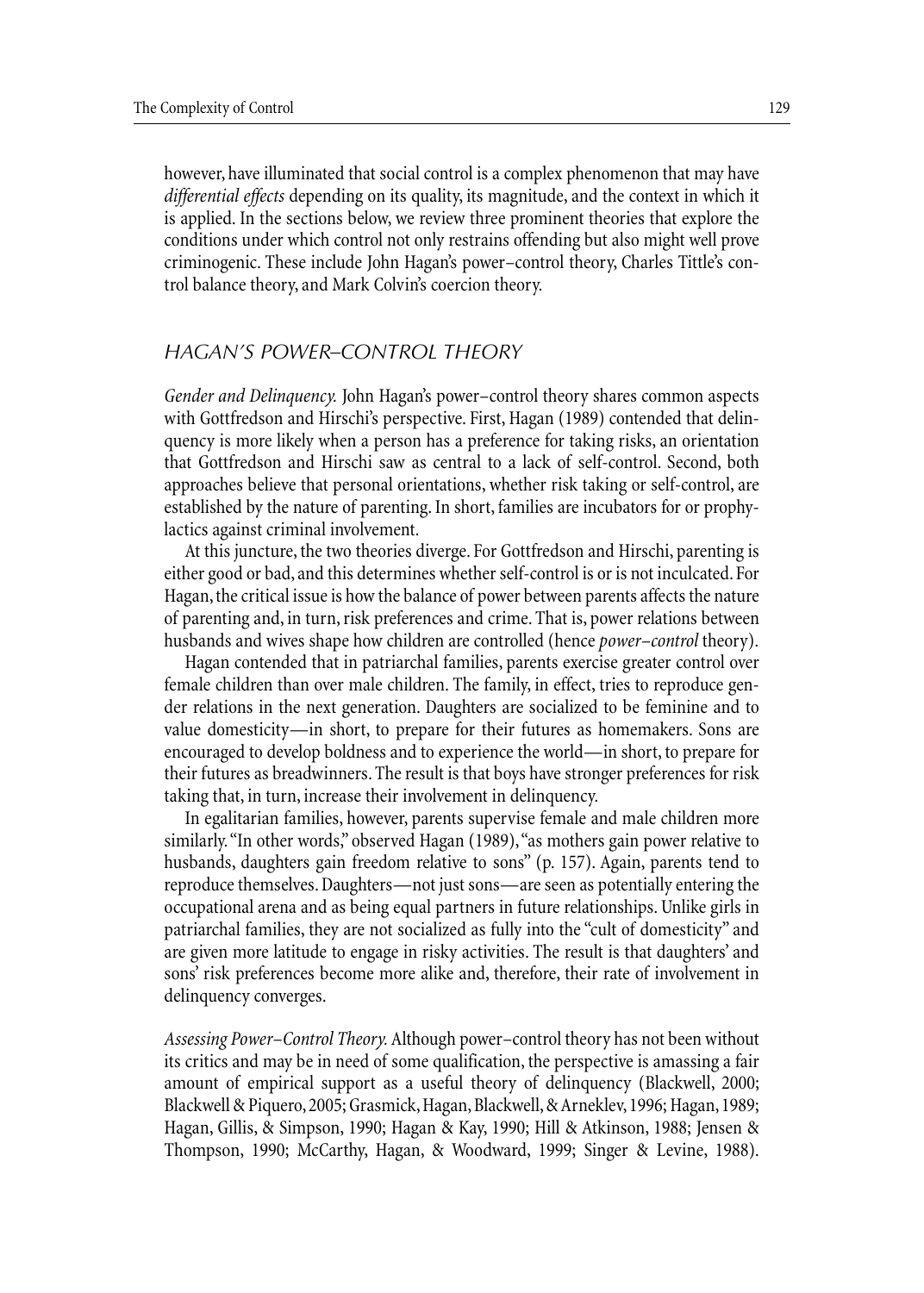however, have illuminated that social control is a complex phenomenon that may have *differential effects* depending on its quality, its magnitude, and the context in which it is applied. In the sections below, we review three prominent theories that explore the conditions under which control not only restrains offending but also might well prove criminogenic. These include John Hagan's power–control theory, Charles Tittle's control balance theory, and Mark Colvin's coercion theory.

#### *HAGAN'S POWER–CONTROL THEORY*

*Gender and Delinquency.* John Hagan's power–control theory shares common aspects with Gottfredson and Hirschi's perspective. First, Hagan (1989) contended that delinquency is more likely when a person has a preference for taking risks, an orientation that Gottfredson and Hirschi saw as central to a lack of self-control. Second, both approaches believe that personal orientations, whether risk taking or self-control, are established by the nature of parenting. In short, families are incubators for or prophylactics against criminal involvement.

At this juncture, the two theories diverge. For Gottfredson and Hirschi, parenting is either good or bad, and this determines whether self-control is or is not inculcated. For Hagan, the critical issue is how the balance of power between parents affects the nature of parenting and, in turn, risk preferences and crime. That is, power relations between husbands and wives shape how children are controlled (hence *power–control* theory).

Hagan contended that in patriarchal families, parents exercise greater control over female children than over male children. The family, in effect, tries to reproduce gender relations in the next generation. Daughters are socialized to be feminine and to value domesticity—in short, to prepare for their futures as homemakers. Sons are encouraged to develop boldness and to experience the world—in short, to prepare for their futures as breadwinners. The result is that boys have stronger preferences for risk taking that, in turn, increase their involvement in delinquency.

In egalitarian families, however, parents supervise female and male children more similarly."In other words," observed Hagan (1989),"as mothers gain power relative to husbands, daughters gain freedom relative to sons" (p. 157). Again, parents tend to reproduce themselves. Daughters—not just sons—are seen as potentially entering the occupational arena and as being equal partners in future relationships. Unlike girls in patriarchal families, they are not socialized as fully into the "cult of domesticity" and are given more latitude to engage in risky activities. The result is that daughters' and sons' risk preferences become more alike and, therefore, their rate of involvement in delinquency converges.

*Assessing Power–Control Theory.*Although power–control theory has not been without its critics and may be in need of some qualification, the perspective is amassing a fair amount of empirical support as a useful theory of delinquency (Blackwell, 2000; Blackwell & Piquero, 2005; Grasmick, Hagan, Blackwell, & Arneklev, 1996; Hagan, 1989; Hagan, Gillis, & Simpson, 1990; Hagan & Kay, 1990; Hill & Atkinson, 1988; Jensen & Thompson, 1990; McCarthy, Hagan, & Woodward, 1999; Singer & Levine, 1988).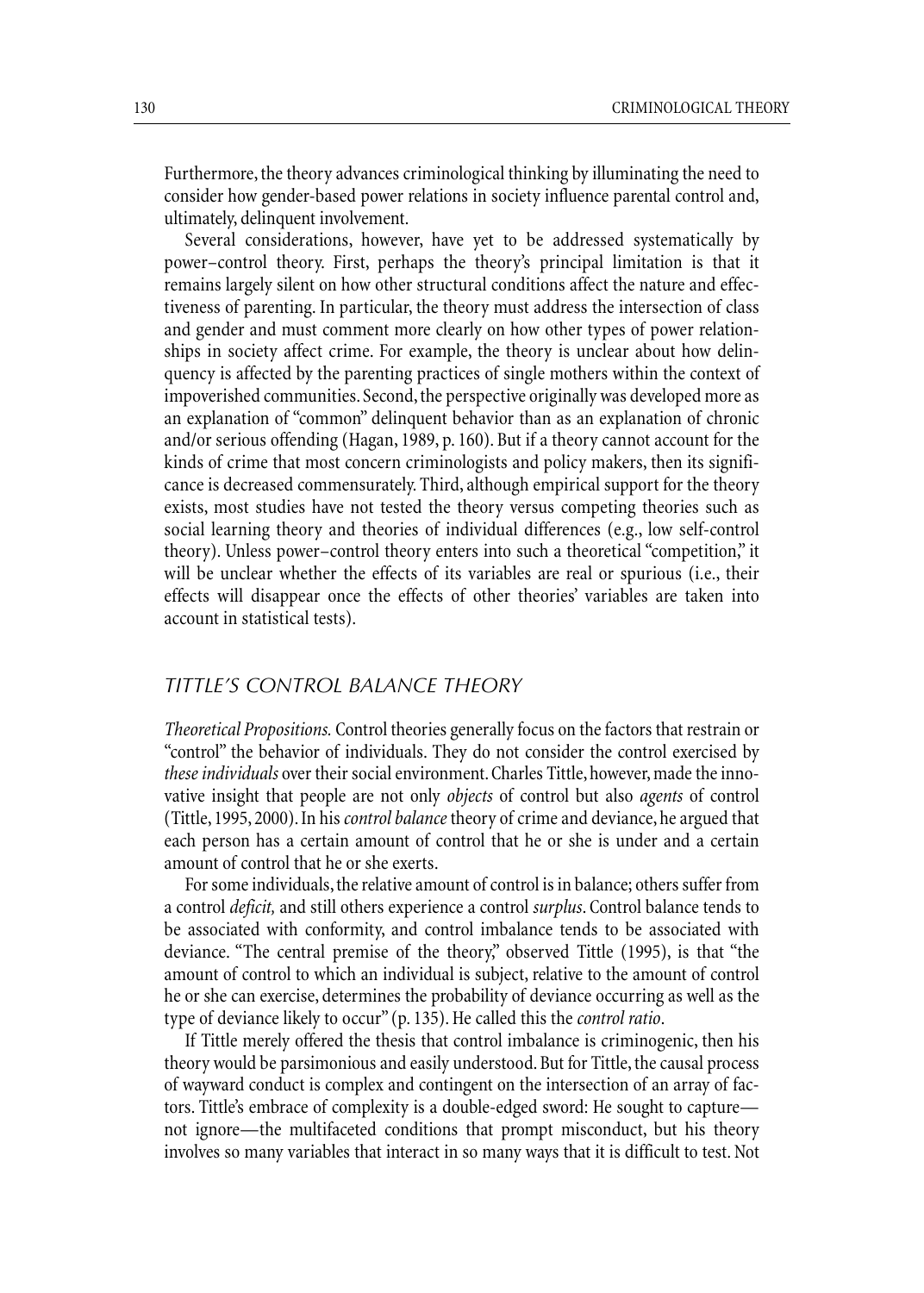Furthermore, the theory advances criminological thinking by illuminating the need to consider how gender-based power relations in society influence parental control and, ultimately, delinquent involvement.

Several considerations, however, have yet to be addressed systematically by power–control theory. First, perhaps the theory's principal limitation is that it remains largely silent on how other structural conditions affect the nature and effectiveness of parenting. In particular, the theory must address the intersection of class and gender and must comment more clearly on how other types of power relationships in society affect crime. For example, the theory is unclear about how delinquency is affected by the parenting practices of single mothers within the context of impoverished communities. Second, the perspective originally was developed more as an explanation of "common" delinquent behavior than as an explanation of chronic and/or serious offending (Hagan, 1989, p. 160). But if a theory cannot account for the kinds of crime that most concern criminologists and policy makers, then its significance is decreased commensurately. Third, although empirical support for the theory exists, most studies have not tested the theory versus competing theories such as social learning theory and theories of individual differences (e.g., low self-control theory). Unless power–control theory enters into such a theoretical "competition," it will be unclear whether the effects of its variables are real or spurious (i.e., their effects will disappear once the effects of other theories' variables are taken into account in statistical tests).

## *TITTLE'S CONTROL BALANCE THEORY*

*Theoretical Propositions.* Control theories generally focus on the factors that restrain or "control" the behavior of individuals. They do not consider the control exercised by *these individuals* over their social environment. Charles Tittle, however, made the innovative insight that people are not only *objects* of control but also *agents* of control (Tittle, 1995, 2000). In his*control balance*theory of crime and deviance, he argued that each person has a certain amount of control that he or she is under and a certain amount of control that he or she exerts.

For some individuals, the relative amount of control is in balance; others suffer from a control *deficit,* and still others experience a control *surplus*. Control balance tends to be associated with conformity, and control imbalance tends to be associated with deviance. "The central premise of the theory," observed Tittle (1995), is that "the amount of control to which an individual is subject, relative to the amount of control he or she can exercise, determines the probability of deviance occurring as well as the type of deviance likely to occur" (p. 135). He called this the *control ratio*.

If Tittle merely offered the thesis that control imbalance is criminogenic, then his theory would be parsimonious and easily understood. But for Tittle, the causal process of wayward conduct is complex and contingent on the intersection of an array of factors. Tittle's embrace of complexity is a double-edged sword: He sought to capture not ignore—the multifaceted conditions that prompt misconduct, but his theory involves so many variables that interact in so many ways that it is difficult to test. Not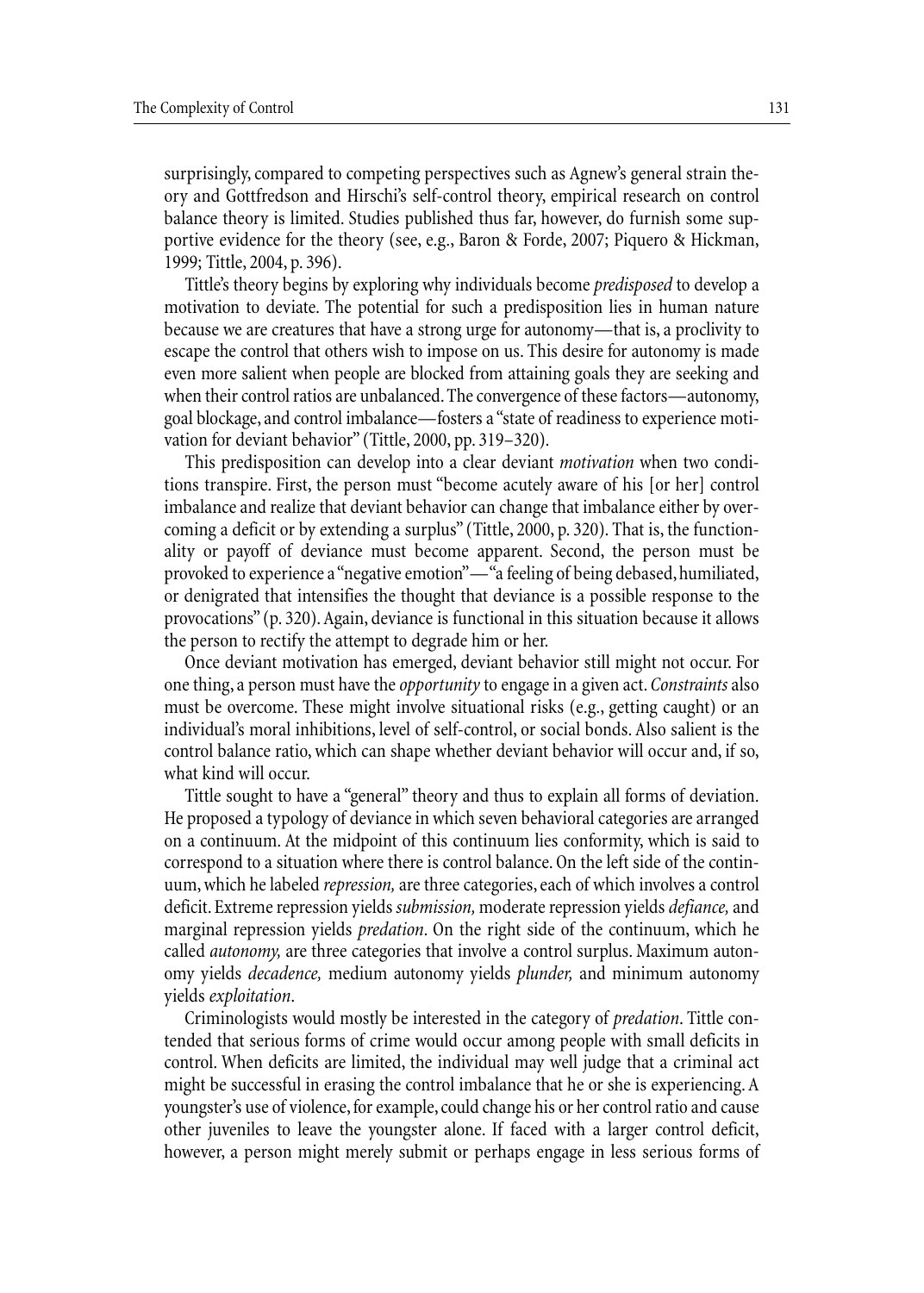surprisingly, compared to competing perspectives such as Agnew's general strain theory and Gottfredson and Hirschi's self-control theory, empirical research on control balance theory is limited. Studies published thus far, however, do furnish some supportive evidence for the theory (see, e.g., Baron & Forde, 2007; Piquero & Hickman, 1999; Tittle, 2004, p. 396).

Tittle's theory begins by exploring why individuals become *predisposed* to develop a motivation to deviate. The potential for such a predisposition lies in human nature because we are creatures that have a strong urge for autonomy—that is, a proclivity to escape the control that others wish to impose on us. This desire for autonomy is made even more salient when people are blocked from attaining goals they are seeking and when their control ratios are unbalanced. The convergence of these factors—autonomy, goal blockage, and control imbalance—fosters a "state of readiness to experience motivation for deviant behavior" (Tittle, 2000, pp. 319–320).

This predisposition can develop into a clear deviant *motivation* when two conditions transpire. First, the person must "become acutely aware of his [or her] control imbalance and realize that deviant behavior can change that imbalance either by overcoming a deficit or by extending a surplus" (Tittle, 2000, p. 320). That is, the functionality or payoff of deviance must become apparent. Second, the person must be provoked to experience a"negative emotion"—"a feeling of being debased, humiliated, or denigrated that intensifies the thought that deviance is a possible response to the provocations" (p. 320). Again, deviance is functional in this situation because it allows the person to rectify the attempt to degrade him or her.

Once deviant motivation has emerged, deviant behavior still might not occur. For one thing, a person must have the *opportunity* to engage in a given act.*Constraints* also must be overcome. These might involve situational risks (e.g., getting caught) or an individual's moral inhibitions, level of self-control, or social bonds. Also salient is the control balance ratio, which can shape whether deviant behavior will occur and, if so, what kind will occur.

Tittle sought to have a "general" theory and thus to explain all forms of deviation. He proposed a typology of deviance in which seven behavioral categories are arranged on a continuum. At the midpoint of this continuum lies conformity, which is said to correspond to a situation where there is control balance. On the left side of the continuum, which he labeled *repression,* are three categories, each of which involves a control deficit. Extreme repression yields*submission,* moderate repression yields *defiance,* and marginal repression yields *predation*. On the right side of the continuum, which he called *autonomy,* are three categories that involve a control surplus. Maximum autonomy yields *decadence,* medium autonomy yields *plunder,* and minimum autonomy yields *exploitation*.

Criminologists would mostly be interested in the category of *predation*. Tittle contended that serious forms of crime would occur among people with small deficits in control. When deficits are limited, the individual may well judge that a criminal act might be successful in erasing the control imbalance that he or she is experiencing. A youngster's use of violence, for example, could change his or her control ratio and cause other juveniles to leave the youngster alone. If faced with a larger control deficit, however, a person might merely submit or perhaps engage in less serious forms of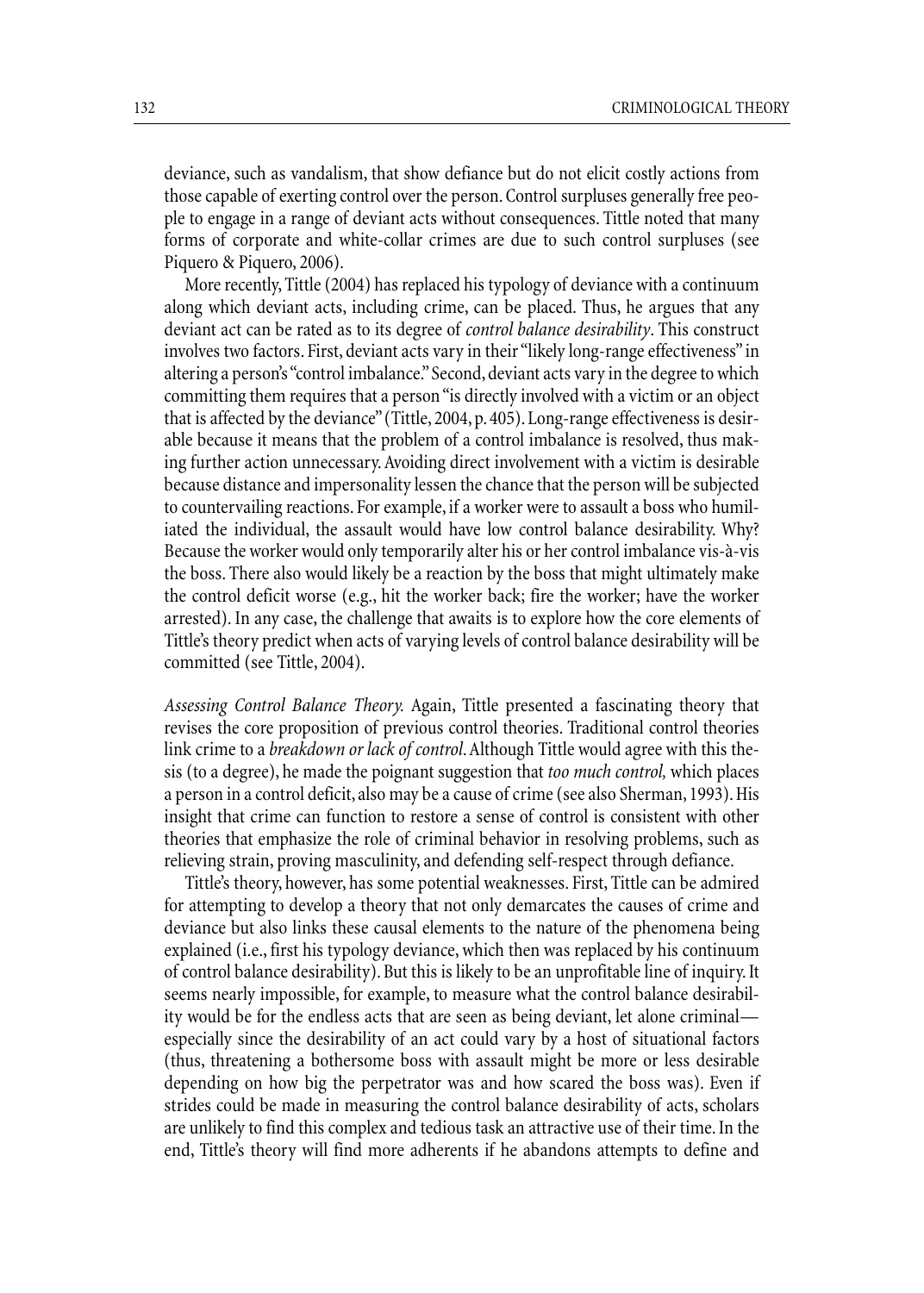deviance, such as vandalism, that show defiance but do not elicit costly actions from those capable of exerting control over the person. Control surpluses generally free people to engage in a range of deviant acts without consequences. Tittle noted that many forms of corporate and white-collar crimes are due to such control surpluses (see Piquero & Piquero, 2006).

More recently, Tittle (2004) has replaced his typology of deviance with a continuum along which deviant acts, including crime, can be placed. Thus, he argues that any deviant act can be rated as to its degree of *control balance desirability*. This construct involves two factors. First, deviant acts vary in their "likely long-range effectiveness" in altering a person's"control imbalance."Second, deviant acts vary in the degree to which committing them requires that a person "is directly involved with a victim or an object that is affected by the deviance" (Tittle, 2004, p. 405). Long-range effectiveness is desirable because it means that the problem of a control imbalance is resolved, thus making further action unnecessary. Avoiding direct involvement with a victim is desirable because distance and impersonality lessen the chance that the person will be subjected to countervailing reactions. For example, if a worker were to assault a boss who humiliated the individual, the assault would have low control balance desirability. Why? Because the worker would only temporarily alter his or her control imbalance vis-à-vis the boss. There also would likely be a reaction by the boss that might ultimately make the control deficit worse (e.g., hit the worker back; fire the worker; have the worker arrested). In any case, the challenge that awaits is to explore how the core elements of Tittle's theory predict when acts of varying levels of control balance desirability will be committed (see Tittle, 2004).

*Assessing Control Balance Theory.* Again, Tittle presented a fascinating theory that revises the core proposition of previous control theories. Traditional control theories link crime to a *breakdown or lack of control*. Although Tittle would agree with this thesis (to a degree), he made the poignant suggestion that *too much control,* which places a person in a control deficit, also may be a cause of crime (see also Sherman, 1993). His insight that crime can function to restore a sense of control is consistent with other theories that emphasize the role of criminal behavior in resolving problems, such as relieving strain, proving masculinity, and defending self-respect through defiance.

Tittle's theory, however, has some potential weaknesses. First, Tittle can be admired for attempting to develop a theory that not only demarcates the causes of crime and deviance but also links these causal elements to the nature of the phenomena being explained (i.e., first his typology deviance, which then was replaced by his continuum of control balance desirability). But this is likely to be an unprofitable line of inquiry. It seems nearly impossible, for example, to measure what the control balance desirability would be for the endless acts that are seen as being deviant, let alone criminal especially since the desirability of an act could vary by a host of situational factors (thus, threatening a bothersome boss with assault might be more or less desirable depending on how big the perpetrator was and how scared the boss was). Even if strides could be made in measuring the control balance desirability of acts, scholars are unlikely to find this complex and tedious task an attractive use of their time. In the end, Tittle's theory will find more adherents if he abandons attempts to define and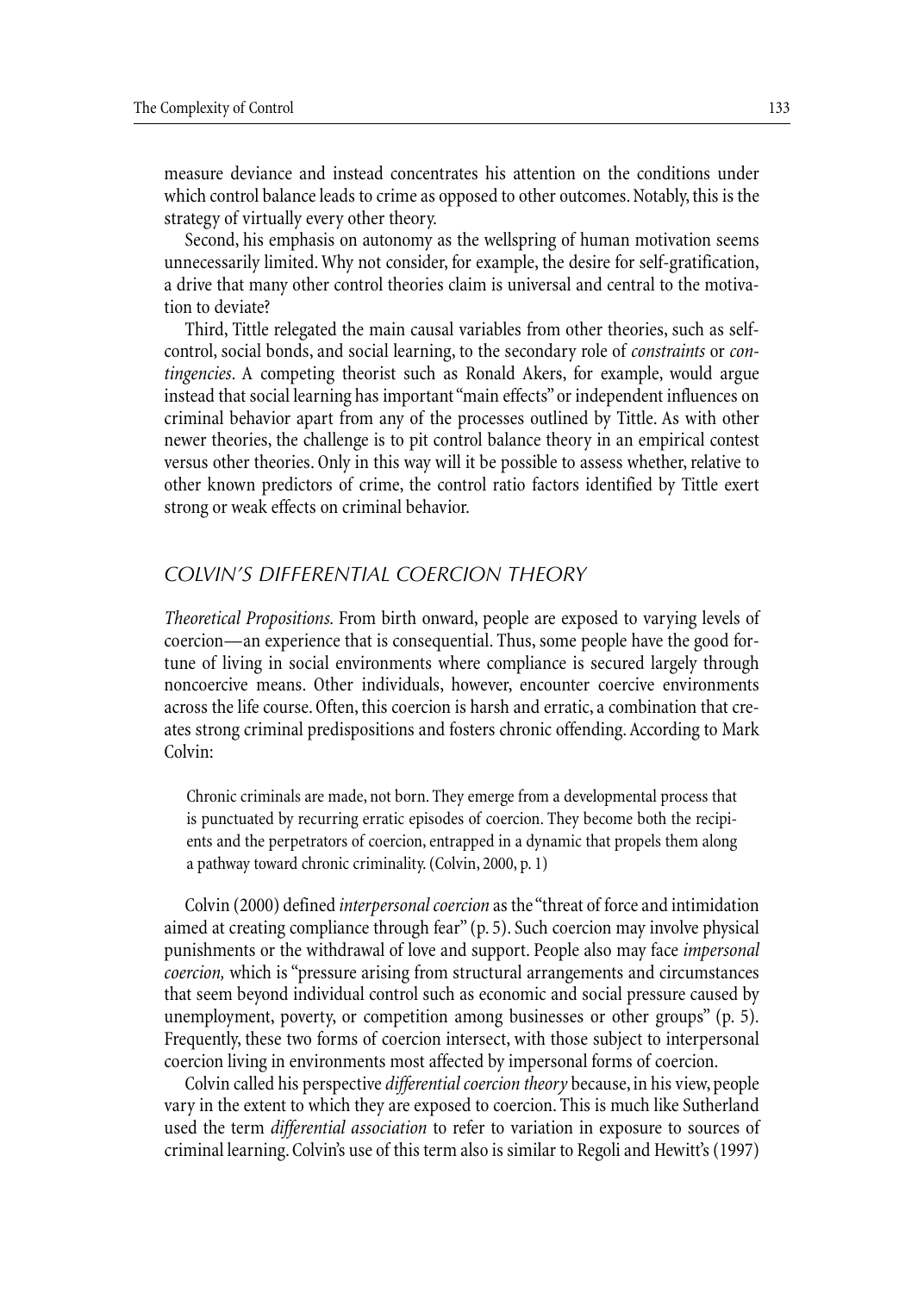measure deviance and instead concentrates his attention on the conditions under which control balance leads to crime as opposed to other outcomes. Notably, this is the strategy of virtually every other theory.

Second, his emphasis on autonomy as the wellspring of human motivation seems unnecessarily limited. Why not consider, for example, the desire for self-gratification, a drive that many other control theories claim is universal and central to the motivation to deviate?

Third, Tittle relegated the main causal variables from other theories, such as selfcontrol, social bonds, and social learning, to the secondary role of *constraints* or *contingencies*. A competing theorist such as Ronald Akers, for example, would argue instead that social learning has important "main effects" or independent influences on criminal behavior apart from any of the processes outlined by Tittle. As with other newer theories, the challenge is to pit control balance theory in an empirical contest versus other theories. Only in this way will it be possible to assess whether, relative to other known predictors of crime, the control ratio factors identified by Tittle exert strong or weak effects on criminal behavior.

#### *COLVIN'S DIFFERENTIAL COERCION THEORY*

*Theoretical Propositions.* From birth onward, people are exposed to varying levels of coercion—an experience that is consequential. Thus, some people have the good fortune of living in social environments where compliance is secured largely through noncoercive means. Other individuals, however, encounter coercive environments across the life course. Often, this coercion is harsh and erratic, a combination that creates strong criminal predispositions and fosters chronic offending. According to Mark Colvin:

Chronic criminals are made, not born. They emerge from a developmental process that is punctuated by recurring erratic episodes of coercion. They become both the recipients and the perpetrators of coercion, entrapped in a dynamic that propels them along a pathway toward chronic criminality. (Colvin, 2000, p. 1)

Colvin (2000) defined *interpersonal coercion* as the "threat of force and intimidation aimed at creating compliance through fear" (p. 5). Such coercion may involve physical punishments or the withdrawal of love and support. People also may face *impersonal coercion,* which is "pressure arising from structural arrangements and circumstances that seem beyond individual control such as economic and social pressure caused by unemployment, poverty, or competition among businesses or other groups" (p. 5). Frequently, these two forms of coercion intersect, with those subject to interpersonal coercion living in environments most affected by impersonal forms of coercion.

Colvin called his perspective *differential coercion theory* because, in his view, people vary in the extent to which they are exposed to coercion. This is much like Sutherland used the term *differential association* to refer to variation in exposure to sources of criminal learning. Colvin's use of this term also is similar to Regoli and Hewitt's (1997)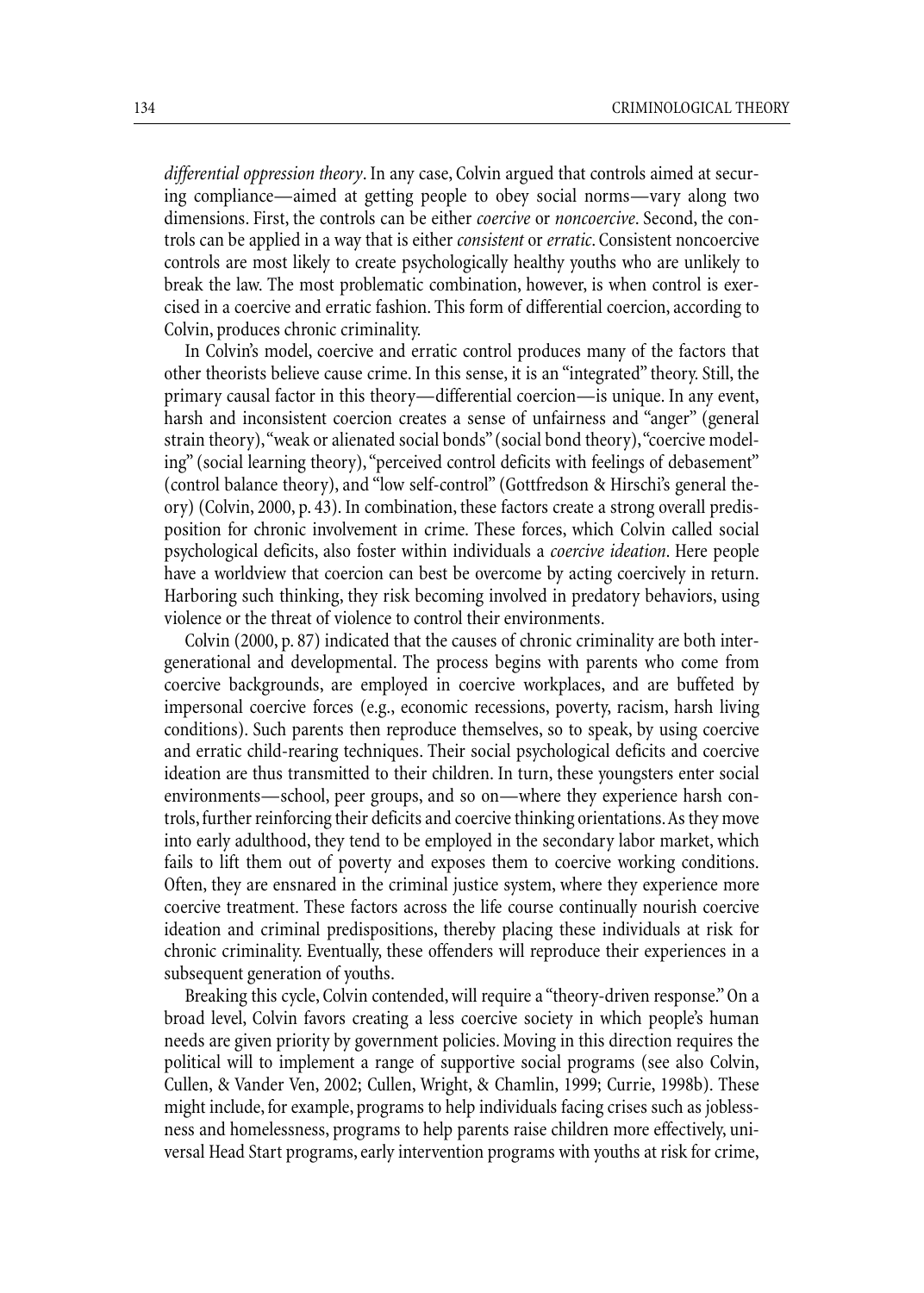*differential oppression theory*. In any case, Colvin argued that controls aimed at securing compliance—aimed at getting people to obey social norms—vary along two dimensions. First, the controls can be either *coercive* or *noncoercive*. Second, the controls can be applied in a way that is either *consistent* or *erratic*. Consistent noncoercive controls are most likely to create psychologically healthy youths who are unlikely to break the law. The most problematic combination, however, is when control is exercised in a coercive and erratic fashion. This form of differential coercion, according to Colvin, produces chronic criminality.

In Colvin's model, coercive and erratic control produces many of the factors that other theorists believe cause crime. In this sense, it is an "integrated" theory. Still, the primary causal factor in this theory—differential coercion—is unique. In any event, harsh and inconsistent coercion creates a sense of unfairness and "anger" (general strain theory),"weak or alienated social bonds" (social bond theory),"coercive modeling" (social learning theory), "perceived control deficits with feelings of debasement" (control balance theory), and "low self-control" (Gottfredson & Hirschi's general theory) (Colvin, 2000, p. 43). In combination, these factors create a strong overall predisposition for chronic involvement in crime. These forces, which Colvin called social psychological deficits, also foster within individuals a *coercive ideation*. Here people have a worldview that coercion can best be overcome by acting coercively in return. Harboring such thinking, they risk becoming involved in predatory behaviors, using violence or the threat of violence to control their environments.

Colvin (2000, p. 87) indicated that the causes of chronic criminality are both intergenerational and developmental. The process begins with parents who come from coercive backgrounds, are employed in coercive workplaces, and are buffeted by impersonal coercive forces (e.g., economic recessions, poverty, racism, harsh living conditions). Such parents then reproduce themselves, so to speak, by using coercive and erratic child-rearing techniques. Their social psychological deficits and coercive ideation are thus transmitted to their children. In turn, these youngsters enter social environments—school, peer groups, and so on—where they experience harsh controls, further reinforcing their deficits and coercive thinking orientations.As they move into early adulthood, they tend to be employed in the secondary labor market, which fails to lift them out of poverty and exposes them to coercive working conditions. Often, they are ensnared in the criminal justice system, where they experience more coercive treatment. These factors across the life course continually nourish coercive ideation and criminal predispositions, thereby placing these individuals at risk for chronic criminality. Eventually, these offenders will reproduce their experiences in a subsequent generation of youths.

Breaking this cycle, Colvin contended, will require a "theory-driven response." On a broad level, Colvin favors creating a less coercive society in which people's human needs are given priority by government policies. Moving in this direction requires the political will to implement a range of supportive social programs (see also Colvin, Cullen, & Vander Ven, 2002; Cullen, Wright, & Chamlin, 1999; Currie, 1998b). These might include, for example, programs to help individuals facing crises such as joblessness and homelessness, programs to help parents raise children more effectively, universal Head Start programs, early intervention programs with youths at risk for crime,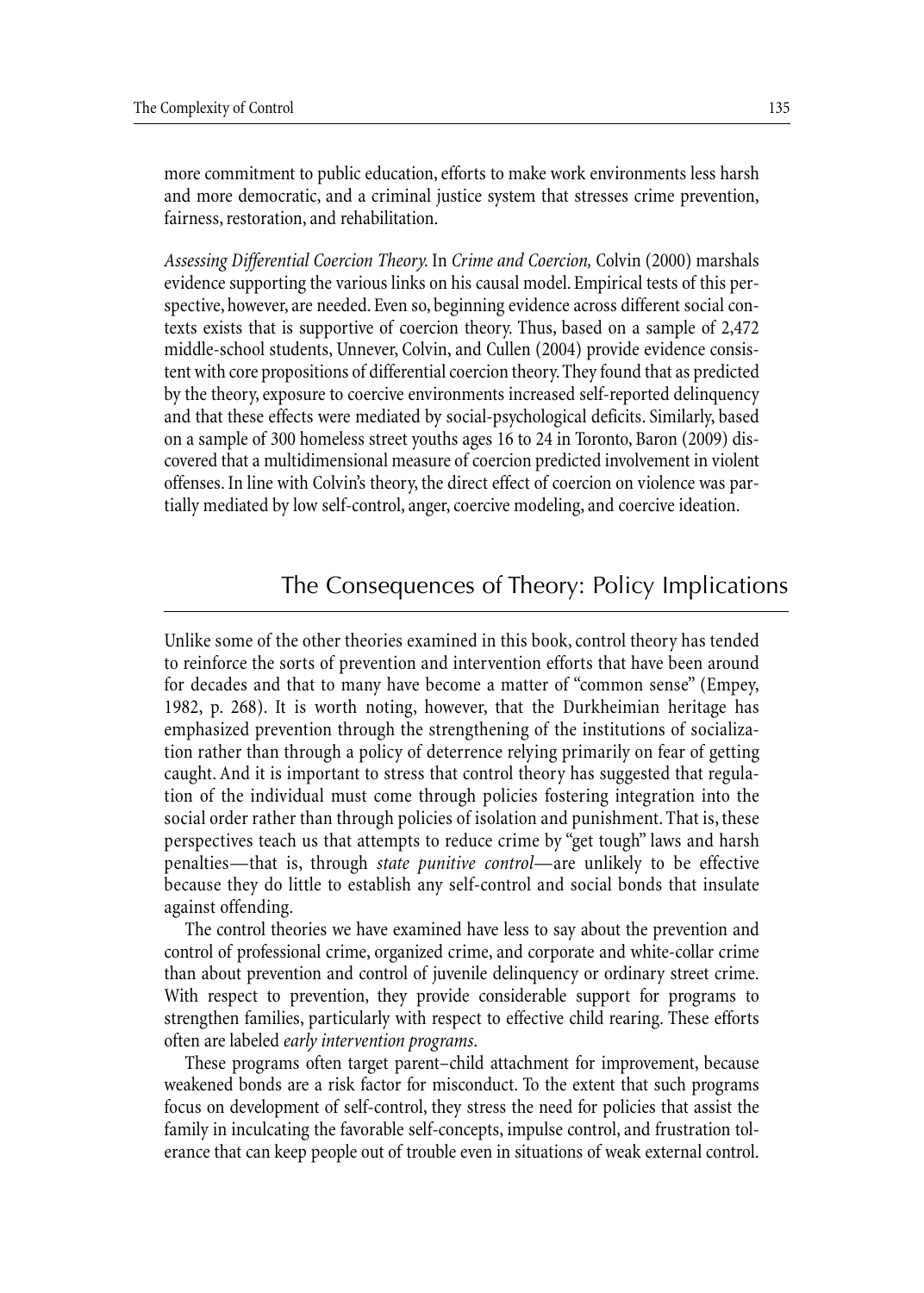more commitment to public education, efforts to make work environments less harsh and more democratic, and a criminal justice system that stresses crime prevention, fairness, restoration, and rehabilitation.

*Assessing Differential Coercion Theory.* In *Crime and Coercion,* Colvin (2000) marshals evidence supporting the various links on his causal model. Empirical tests of this perspective, however, are needed. Even so, beginning evidence across different social contexts exists that is supportive of coercion theory. Thus, based on a sample of 2,472 middle-school students, Unnever, Colvin, and Cullen (2004) provide evidence consistent with core propositions of differential coercion theory. They found that as predicted by the theory, exposure to coercive environments increased self-reported delinquency and that these effects were mediated by social-psychological deficits. Similarly, based on a sample of 300 homeless street youths ages 16 to 24 in Toronto, Baron (2009) discovered that a multidimensional measure of coercion predicted involvement in violent offenses. In line with Colvin's theory, the direct effect of coercion on violence was partially mediated by low self-control, anger, coercive modeling, and coercive ideation.

# The Consequences of Theory: Policy Implications

Unlike some of the other theories examined in this book, control theory has tended to reinforce the sorts of prevention and intervention efforts that have been around for decades and that to many have become a matter of "common sense" (Empey, 1982, p. 268). It is worth noting, however, that the Durkheimian heritage has emphasized prevention through the strengthening of the institutions of socialization rather than through a policy of deterrence relying primarily on fear of getting caught. And it is important to stress that control theory has suggested that regulation of the individual must come through policies fostering integration into the social order rather than through policies of isolation and punishment. That is, these perspectives teach us that attempts to reduce crime by "get tough" laws and harsh penalties—that is, through *state punitive control*—are unlikely to be effective because they do little to establish any self-control and social bonds that insulate against offending.

The control theories we have examined have less to say about the prevention and control of professional crime, organized crime, and corporate and white-collar crime than about prevention and control of juvenile delinquency or ordinary street crime. With respect to prevention, they provide considerable support for programs to strengthen families, particularly with respect to effective child rearing. These efforts often are labeled *early intervention programs*.

These programs often target parent–child attachment for improvement, because weakened bonds are a risk factor for misconduct. To the extent that such programs focus on development of self-control, they stress the need for policies that assist the family in inculcating the favorable self-concepts, impulse control, and frustration tolerance that can keep people out of trouble even in situations of weak external control.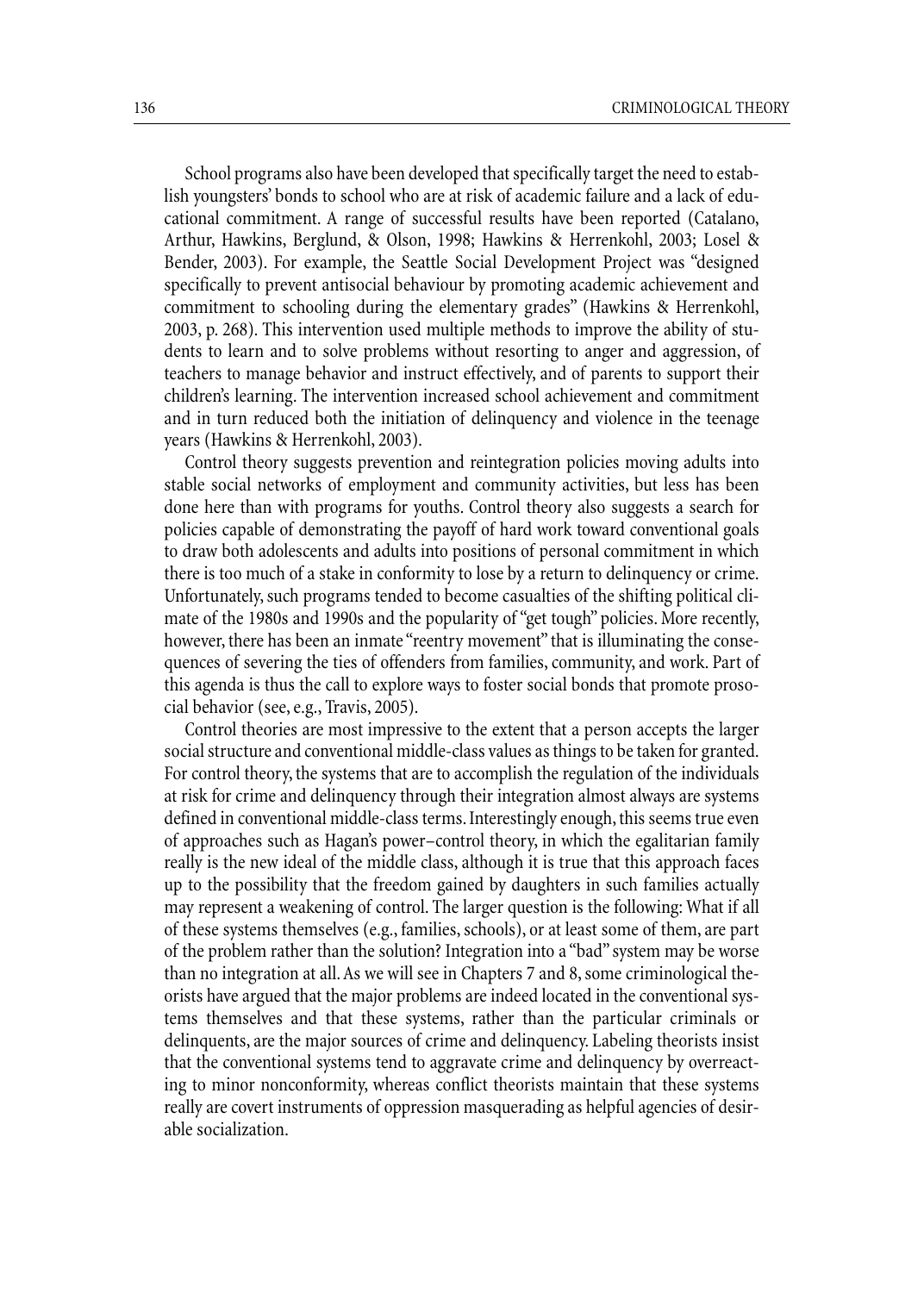School programs also have been developed that specifically target the need to establish youngsters' bonds to school who are at risk of academic failure and a lack of educational commitment. A range of successful results have been reported (Catalano, Arthur, Hawkins, Berglund, & Olson, 1998; Hawkins & Herrenkohl, 2003; Losel & Bender, 2003). For example, the Seattle Social Development Project was "designed specifically to prevent antisocial behaviour by promoting academic achievement and commitment to schooling during the elementary grades" (Hawkins & Herrenkohl, 2003, p. 268). This intervention used multiple methods to improve the ability of students to learn and to solve problems without resorting to anger and aggression, of teachers to manage behavior and instruct effectively, and of parents to support their children's learning. The intervention increased school achievement and commitment and in turn reduced both the initiation of delinquency and violence in the teenage years (Hawkins & Herrenkohl, 2003).

Control theory suggests prevention and reintegration policies moving adults into stable social networks of employment and community activities, but less has been done here than with programs for youths. Control theory also suggests a search for policies capable of demonstrating the payoff of hard work toward conventional goals to draw both adolescents and adults into positions of personal commitment in which there is too much of a stake in conformity to lose by a return to delinquency or crime. Unfortunately, such programs tended to become casualties of the shifting political climate of the 1980s and 1990s and the popularity of "get tough" policies. More recently, however, there has been an inmate "reentry movement" that is illuminating the consequences of severing the ties of offenders from families, community, and work. Part of this agenda is thus the call to explore ways to foster social bonds that promote prosocial behavior (see, e.g., Travis, 2005).

Control theories are most impressive to the extent that a person accepts the larger social structure and conventional middle-class values as things to be taken for granted. For control theory, the systems that are to accomplish the regulation of the individuals at risk for crime and delinquency through their integration almost always are systems defined in conventional middle-class terms. Interestingly enough, this seems true even of approaches such as Hagan's power–control theory, in which the egalitarian family really is the new ideal of the middle class, although it is true that this approach faces up to the possibility that the freedom gained by daughters in such families actually may represent a weakening of control. The larger question is the following: What if all of these systems themselves (e.g., families, schools), or at least some of them, are part of the problem rather than the solution? Integration into a "bad" system may be worse than no integration at all. As we will see in Chapters 7 and 8, some criminological theorists have argued that the major problems are indeed located in the conventional systems themselves and that these systems, rather than the particular criminals or delinquents, are the major sources of crime and delinquency. Labeling theorists insist that the conventional systems tend to aggravate crime and delinquency by overreacting to minor nonconformity, whereas conflict theorists maintain that these systems really are covert instruments of oppression masquerading as helpful agencies of desirable socialization.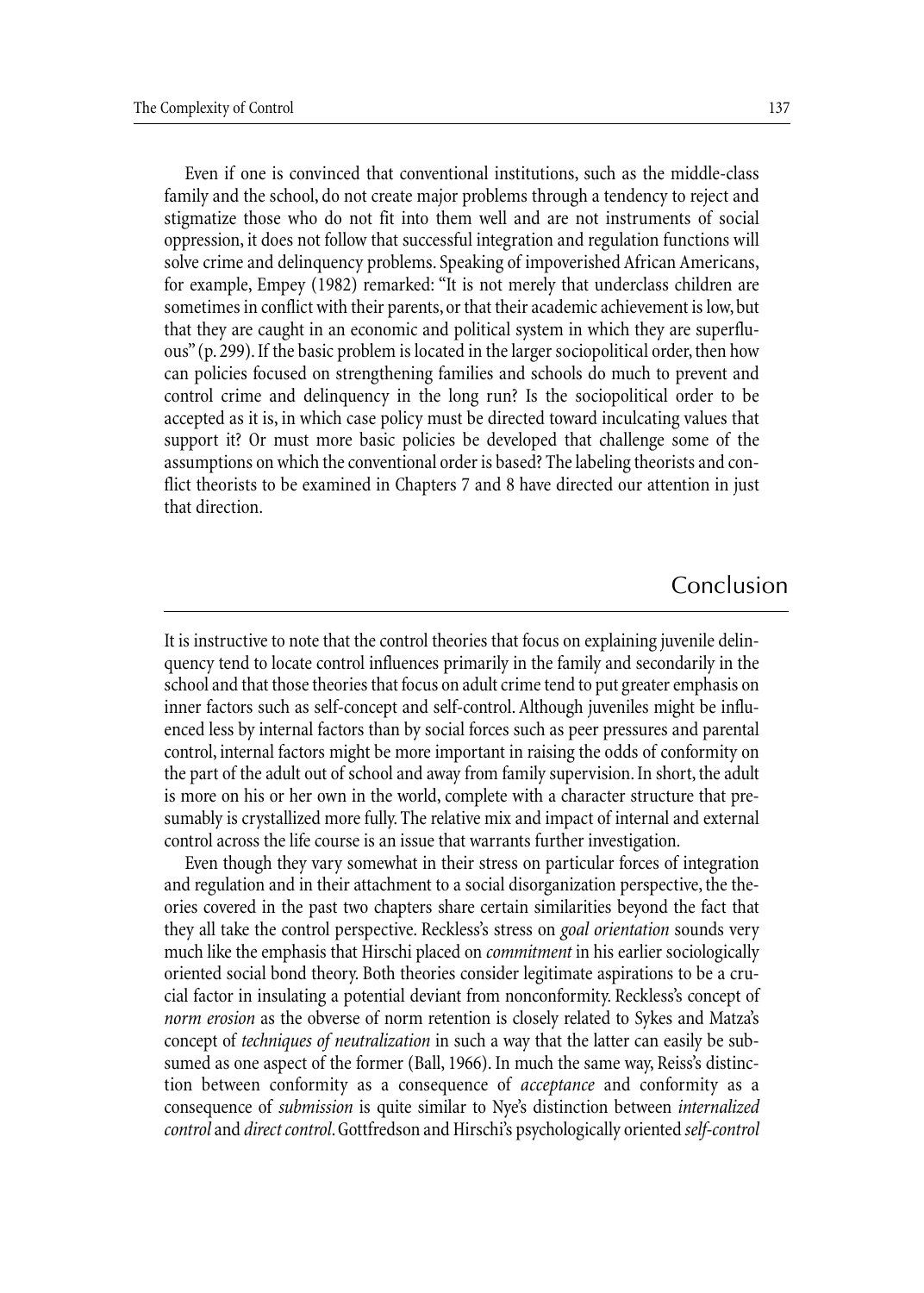Even if one is convinced that conventional institutions, such as the middle-class family and the school, do not create major problems through a tendency to reject and stigmatize those who do not fit into them well and are not instruments of social oppression, it does not follow that successful integration and regulation functions will solve crime and delinquency problems. Speaking of impoverished African Americans, for example, Empey (1982) remarked: "It is not merely that underclass children are sometimes in conflict with their parents, or that their academic achievement is low, but that they are caught in an economic and political system in which they are superfluous" (p. 299). If the basic problem is located in the larger sociopolitical order, then how can policies focused on strengthening families and schools do much to prevent and control crime and delinquency in the long run? Is the sociopolitical order to be accepted as it is, in which case policy must be directed toward inculcating values that support it? Or must more basic policies be developed that challenge some of the assumptions on which the conventional order is based? The labeling theorists and conflict theorists to be examined in Chapters 7 and 8 have directed our attention in just that direction.

# Conclusion

It is instructive to note that the control theories that focus on explaining juvenile delinquency tend to locate control influences primarily in the family and secondarily in the school and that those theories that focus on adult crime tend to put greater emphasis on inner factors such as self-concept and self-control. Although juveniles might be influenced less by internal factors than by social forces such as peer pressures and parental control, internal factors might be more important in raising the odds of conformity on the part of the adult out of school and away from family supervision. In short, the adult is more on his or her own in the world, complete with a character structure that presumably is crystallized more fully. The relative mix and impact of internal and external control across the life course is an issue that warrants further investigation.

Even though they vary somewhat in their stress on particular forces of integration and regulation and in their attachment to a social disorganization perspective, the theories covered in the past two chapters share certain similarities beyond the fact that they all take the control perspective. Reckless's stress on *goal orientation* sounds very much like the emphasis that Hirschi placed on *commitment* in his earlier sociologically oriented social bond theory. Both theories consider legitimate aspirations to be a crucial factor in insulating a potential deviant from nonconformity. Reckless's concept of *norm erosion* as the obverse of norm retention is closely related to Sykes and Matza's concept of *techniques of neutralization* in such a way that the latter can easily be subsumed as one aspect of the former (Ball, 1966). In much the same way, Reiss's distinction between conformity as a consequence of *acceptance* and conformity as a consequence of *submission* is quite similar to Nye's distinction between *internalized control* and *direct control*. Gottfredson and Hirschi's psychologically oriented *self-control*